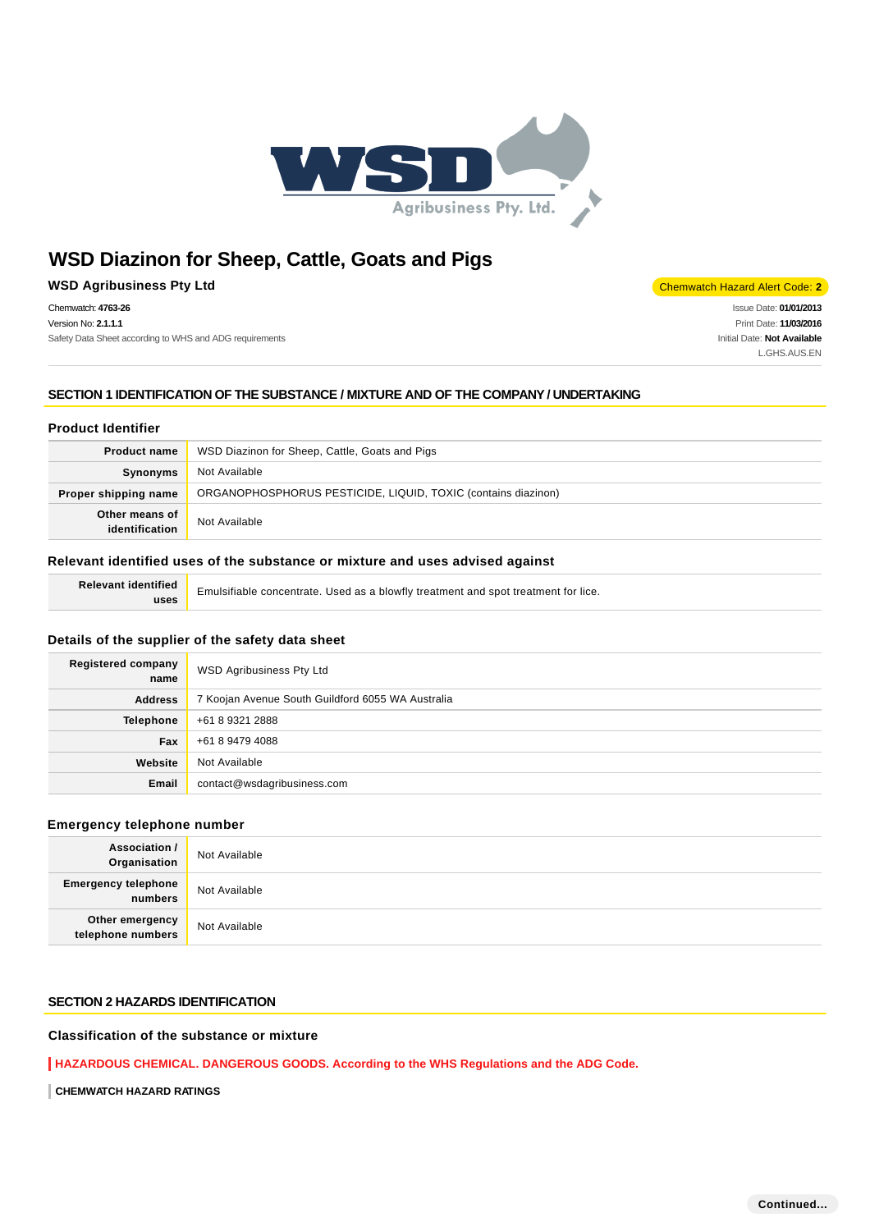

**WSD Agribusiness Pty Ltd** Chemwatch Hazard Alert Code: 2

Chemwatch: **4763-26** Version No: **2.1.1.1** Safety Data Sheet according to WHS and ADG requirements

Issue Date: **01/01/2013** Print Date: **11/03/2016** Initial Date: **Not Available**

L.GHS.AUS.EN

**SECTION 1 IDENTIFICATION OF THE SUBSTANCE / MIXTURE AND OF THE COMPANY / UNDERTAKING**

#### **Product Identifier**

| <b>Product name</b>              | WSD Diazinon for Sheep, Cattle, Goats and Pigs                |
|----------------------------------|---------------------------------------------------------------|
| Synonyms                         | Not Available                                                 |
| Proper shipping name             | ORGANOPHOSPHORUS PESTICIDE, LIQUID, TOXIC (contains diazinon) |
| Other means of<br>identification | Not Available                                                 |

#### **Relevant identified uses of the substance or mixture and uses advised against**

**Relevant identified uses**

Emulsifiable concentrate. Used as a blowfly treatment and spot treatment for lice.

### **Details of the supplier of the safety data sheet**

| <b>Registered company</b><br>name | WSD Agribusiness Pty Ltd                          |  |  |
|-----------------------------------|---------------------------------------------------|--|--|
| <b>Address</b>                    | 7 Koojan Avenue South Guildford 6055 WA Australia |  |  |
| <b>Telephone</b>                  | +61 8 9321 2888                                   |  |  |
| <b>Fax</b>                        | +61 8 9479 4088                                   |  |  |
| Website                           | Not Available                                     |  |  |
| Email                             | contact@wsdagribusiness.com                       |  |  |

### **Emergency telephone number**

| Association /<br>Organisation         | Not Available |
|---------------------------------------|---------------|
| <b>Emergency telephone</b><br>numbers | Not Available |
| Other emergency<br>telephone numbers  | Not Available |

## **SECTION 2 HAZARDS IDENTIFICATION**

## **Classification of the substance or mixture**

**HAZARDOUS CHEMICAL. DANGEROUS GOODS. According to the WHS Regulations and the ADG Code.**

**CHEMWATCH HAZARD RATINGS**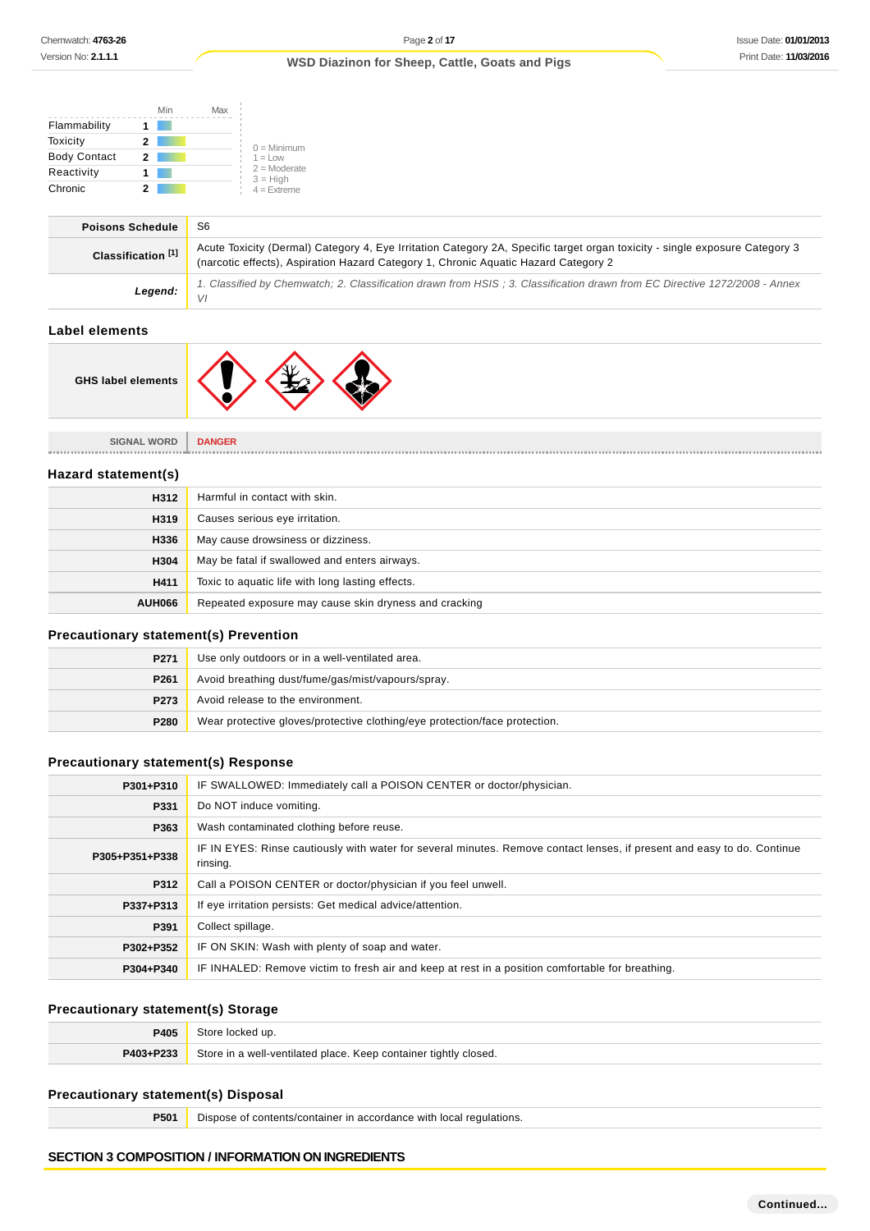|                     | Min | Max |                              |
|---------------------|-----|-----|------------------------------|
| Flammability        |     |     |                              |
| Toxicity            | 2   |     | $0 =$ Minimum                |
| <b>Body Contact</b> | 2   |     | $1 = 1$ $\Omega$             |
| Reactivity          |     |     | $2 =$ Moderate<br>$3 = High$ |
| Chronic             |     |     | $4 =$ Extreme                |

| <b>Poisons Schedule</b>       | S6                                                                                                                                                                                                                 |
|-------------------------------|--------------------------------------------------------------------------------------------------------------------------------------------------------------------------------------------------------------------|
| Classification <sup>[1]</sup> | Acute Toxicity (Dermal) Category 4, Eye Irritation Category 2A, Specific target organ toxicity - single exposure Category 3<br>(narcotic effects), Aspiration Hazard Category 1, Chronic Aquatic Hazard Category 2 |
| Legend:                       | 1. Classified by Chemwatch; 2. Classification drawn from HSIS; 3. Classification drawn from EC Directive 1272/2008 - Annex<br>VI                                                                                   |
|                               |                                                                                                                                                                                                                    |

## **Label elements**

 $\overline{\phantom{a}}$ 



**SIGNAL WORD DANGER**

#### **Hazard statement(s)**

| H312          | Harmful in contact with skin.                         |
|---------------|-------------------------------------------------------|
| H319          | Causes serious eye irritation.                        |
| H336          | May cause drowsiness or dizziness.                    |
| H304          | May be fatal if swallowed and enters airways.         |
| H411          | Toxic to aquatic life with long lasting effects.      |
| <b>AUH066</b> | Repeated exposure may cause skin dryness and cracking |

### **Precautionary statement(s) Prevention**

| P <sub>271</sub> | Use only outdoors or in a well-ventilated area.                            |  |
|------------------|----------------------------------------------------------------------------|--|
| P <sub>261</sub> | Avoid breathing dust/fume/gas/mist/vapours/spray.                          |  |
| P273             | Avoid release to the environment.                                          |  |
| P280             | Wear protective gloves/protective clothing/eye protection/face protection. |  |

## **Precautionary statement(s) Response**

| P301+P310      | IF SWALLOWED: Immediately call a POISON CENTER or doctor/physician.                                                                 |
|----------------|-------------------------------------------------------------------------------------------------------------------------------------|
| P331           | Do NOT induce vomiting.                                                                                                             |
| P363           | Wash contaminated clothing before reuse.                                                                                            |
| P305+P351+P338 | IF IN EYES: Rinse cautiously with water for several minutes. Remove contact lenses, if present and easy to do. Continue<br>rinsing. |
| P312           | Call a POISON CENTER or doctor/physician if you feel unwell.                                                                        |
| P337+P313      | If eye irritation persists: Get medical advice/attention.                                                                           |
| P391           | Collect spillage.                                                                                                                   |
| P302+P352      | IF ON SKIN: Wash with plenty of soap and water.                                                                                     |
| P304+P340      | IF INHALED: Remove victim to fresh air and keep at rest in a position comfortable for breathing.                                    |

### **Precautionary statement(s) Storage**

| 2405      | Store locked up.                                                 |
|-----------|------------------------------------------------------------------|
| P403+P233 | Store in a well-ventilated place. Keep container tightly closed. |

## **Precautionary statement(s) Disposal**

**P501** Dispose of contents/container in accordance with local regulations.

#### **SECTION 3 COMPOSITION / INFORMATION ON INGREDIENTS**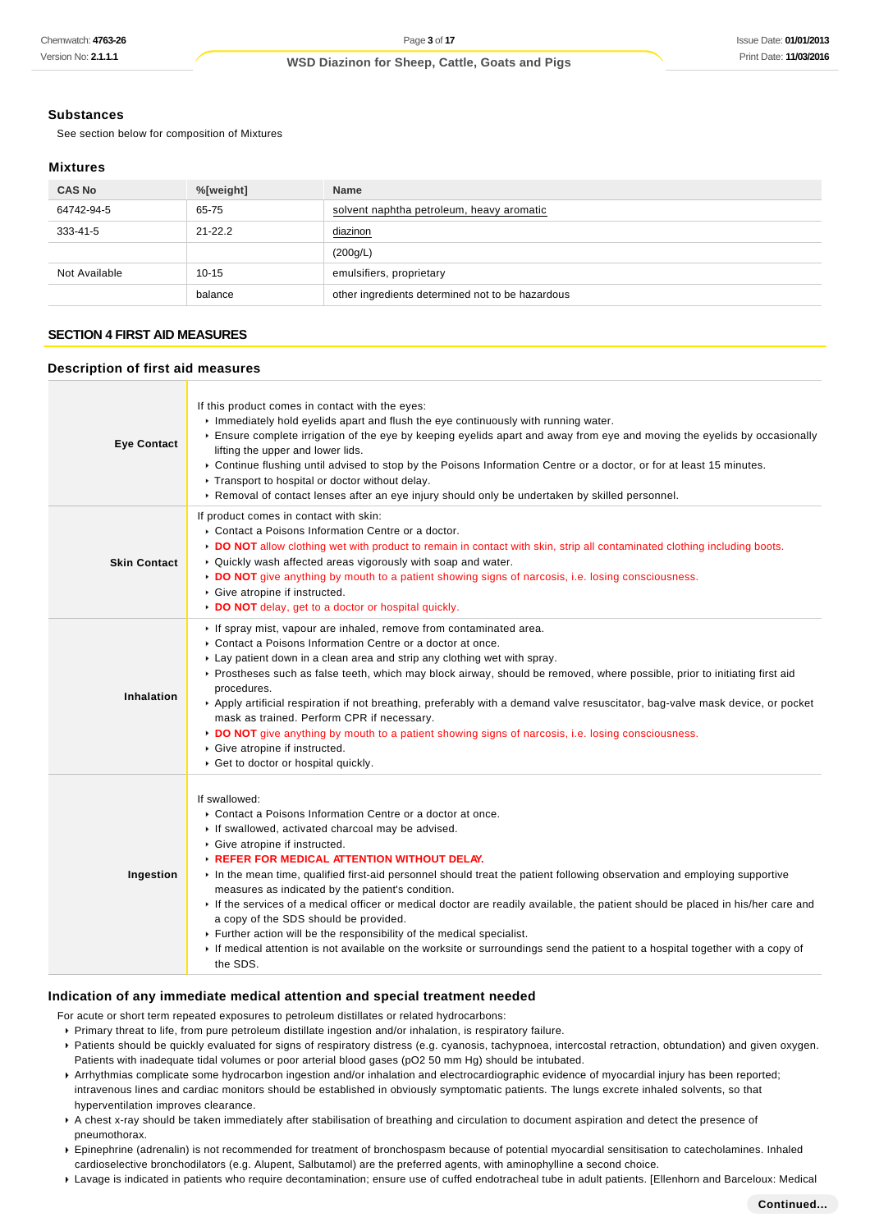### **Substances**

See section below for composition of Mixtures

#### **Mixtures**

| <b>CAS No</b> | %[weight]   | <b>Name</b>                                      |
|---------------|-------------|--------------------------------------------------|
| 64742-94-5    | 65-75       | solvent naphtha petroleum, heavy aromatic        |
| 333-41-5      | $21 - 22.2$ | diazinon                                         |
|               |             | (200g/L)                                         |
| Not Available | $10 - 15$   | emulsifiers, proprietary                         |
|               | balance     | other ingredients determined not to be hazardous |

## **SECTION 4 FIRST AID MEASURES**

#### **Description of first aid measures**

| <b>Eye Contact</b>  | If this product comes in contact with the eyes:<br>Immediately hold eyelids apart and flush the eye continuously with running water.<br>Ensure complete irrigation of the eye by keeping eyelids apart and away from eye and moving the eyelids by occasionally<br>lifting the upper and lower lids.<br>▶ Continue flushing until advised to stop by the Poisons Information Centre or a doctor, or for at least 15 minutes.<br>Transport to hospital or doctor without delay.<br>▶ Removal of contact lenses after an eye injury should only be undertaken by skilled personnel.                                                                                                                                                                                                                             |
|---------------------|---------------------------------------------------------------------------------------------------------------------------------------------------------------------------------------------------------------------------------------------------------------------------------------------------------------------------------------------------------------------------------------------------------------------------------------------------------------------------------------------------------------------------------------------------------------------------------------------------------------------------------------------------------------------------------------------------------------------------------------------------------------------------------------------------------------|
| <b>Skin Contact</b> | If product comes in contact with skin:<br>• Contact a Poisons Information Centre or a doctor.<br>DO NOT allow clothing wet with product to remain in contact with skin, strip all contaminated clothing including boots.<br>• Quickly wash affected areas vigorously with soap and water.<br>► DO NOT give anything by mouth to a patient showing signs of narcosis, i.e. losing consciousness.<br>Give atropine if instructed.<br>DO NOT delay, get to a doctor or hospital quickly.                                                                                                                                                                                                                                                                                                                         |
| Inhalation          | If spray mist, vapour are inhaled, remove from contaminated area.<br>• Contact a Poisons Information Centre or a doctor at once.<br>► Lay patient down in a clean area and strip any clothing wet with spray.<br>▶ Prostheses such as false teeth, which may block airway, should be removed, where possible, prior to initiating first aid<br>procedures.<br>Apply artificial respiration if not breathing, preferably with a demand valve resuscitator, bag-valve mask device, or pocket<br>mask as trained. Perform CPR if necessary.<br>► DO NOT give anything by mouth to a patient showing signs of narcosis, i.e. losing consciousness.<br>Give atropine if instructed.<br>Get to doctor or hospital quickly.                                                                                          |
| Ingestion           | If swallowed:<br>• Contact a Poisons Information Centre or a doctor at once.<br>If swallowed, activated charcoal may be advised.<br>Give atropine if instructed.<br><b>EXECUTE: REFER FOR MEDICAL ATTENTION WITHOUT DELAY.</b><br>In the mean time, qualified first-aid personnel should treat the patient following observation and employing supportive<br>measures as indicated by the patient's condition.<br>If the services of a medical officer or medical doctor are readily available, the patient should be placed in his/her care and<br>a copy of the SDS should be provided.<br>Further action will be the responsibility of the medical specialist.<br>If medical attention is not available on the worksite or surroundings send the patient to a hospital together with a copy of<br>the SDS. |

#### **Indication of any immediate medical attention and special treatment needed**

For acute or short term repeated exposures to petroleum distillates or related hydrocarbons:

- Primary threat to life, from pure petroleum distillate ingestion and/or inhalation, is respiratory failure.
- Patients should be quickly evaluated for signs of respiratory distress (e.g. cyanosis, tachypnoea, intercostal retraction, obtundation) and given oxygen. Patients with inadequate tidal volumes or poor arterial blood gases (pO2 50 mm Hg) should be intubated.
- Arrhythmias complicate some hydrocarbon ingestion and/or inhalation and electrocardiographic evidence of myocardial injury has been reported; intravenous lines and cardiac monitors should be established in obviously symptomatic patients. The lungs excrete inhaled solvents, so that hyperventilation improves clearance.
- A chest x-ray should be taken immediately after stabilisation of breathing and circulation to document aspiration and detect the presence of pneumothorax.
- Epinephrine (adrenalin) is not recommended for treatment of bronchospasm because of potential myocardial sensitisation to catecholamines. Inhaled cardioselective bronchodilators (e.g. Alupent, Salbutamol) are the preferred agents, with aminophylline a second choice.
- Lavage is indicated in patients who require decontamination; ensure use of cuffed endotracheal tube in adult patients. [Ellenhorn and Barceloux: Medical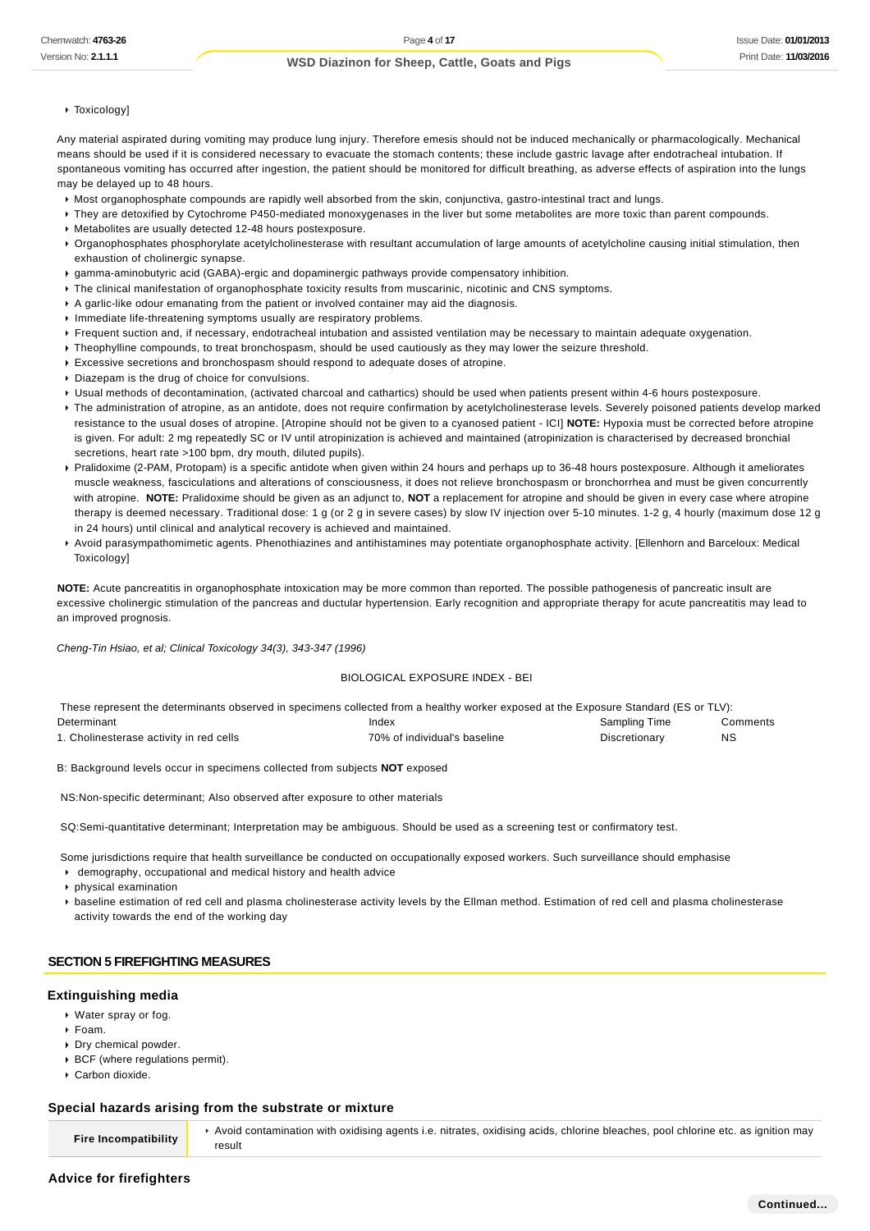#### Toxicology]

Any material aspirated during vomiting may produce lung injury. Therefore emesis should not be induced mechanically or pharmacologically. Mechanical means should be used if it is considered necessary to evacuate the stomach contents; these include gastric lavage after endotracheal intubation. If spontaneous vomiting has occurred after ingestion, the patient should be monitored for difficult breathing, as adverse effects of aspiration into the lungs may be delayed up to 48 hours.

- Most organophosphate compounds are rapidly well absorbed from the skin, conjunctiva, gastro-intestinal tract and lungs.
- They are detoxified by Cytochrome P450-mediated monoxygenases in the liver but some metabolites are more toxic than parent compounds.
- Metabolites are usually detected 12-48 hours postexposure.
- ▶ Organophosphates phosphorylate acetylcholinesterase with resultant accumulation of large amounts of acetylcholine causing initial stimulation, then exhaustion of cholinergic synapse.
- gamma-aminobutyric acid (GABA)-ergic and dopaminergic pathways provide compensatory inhibition.
- The clinical manifestation of organophosphate toxicity results from muscarinic, nicotinic and CNS symptoms.
- A garlic-like odour emanating from the patient or involved container may aid the diagnosis.
- Immediate life-threatening symptoms usually are respiratory problems.
- Frequent suction and, if necessary, endotracheal intubation and assisted ventilation may be necessary to maintain adequate oxygenation.
- Theophylline compounds, to treat bronchospasm, should be used cautiously as they may lower the seizure threshold.
- Excessive secretions and bronchospasm should respond to adequate doses of atropine.
- Diazepam is the drug of choice for convulsions.
- Usual methods of decontamination, (activated charcoal and cathartics) should be used when patients present within 4-6 hours postexposure.
- The administration of atropine, as an antidote, does not require confirmation by acetylcholinesterase levels. Severely poisoned patients develop marked resistance to the usual doses of atropine. [Atropine should not be given to a cyanosed patient - ICI] **NOTE:** Hypoxia must be corrected before atropine is given. For adult: 2 mg repeatedly SC or IV until atropinization is achieved and maintained (atropinization is characterised by decreased bronchial secretions, heart rate >100 bpm, dry mouth, diluted pupils).
- ▶ Pralidoxime (2-PAM, Protopam) is a specific antidote when given within 24 hours and perhaps up to 36-48 hours postexposure. Although it ameliorates muscle weakness, fasciculations and alterations of consciousness, it does not relieve bronchospasm or bronchorrhea and must be given concurrently with atropine. **NOTE:** Pralidoxime should be given as an adjunct to, **NOT** a replacement for atropine and should be given in every case where atropine therapy is deemed necessary. Traditional dose: 1 g (or 2 g in severe cases) by slow IV injection over 5-10 minutes. 1-2 g, 4 hourly (maximum dose 12 g in 24 hours) until clinical and analytical recovery is achieved and maintained.
- Avoid parasympathomimetic agents. Phenothiazines and antihistamines may potentiate organophosphate activity. [Ellenhorn and Barceloux: Medical **Toxicology**

**NOTE:** Acute pancreatitis in organophosphate intoxication may be more common than reported. The possible pathogenesis of pancreatic insult are excessive cholinergic stimulation of the pancreas and ductular hypertension. Early recognition and appropriate therapy for acute pancreatitis may lead to an improved prognosis.

Cheng-Tin Hsiao, et al; Clinical Toxicology 34(3), 343-347 (1996)

#### BIOLOGICAL EXPOSURE INDEX - BEI

| These represent the determinants observed in specimens collected from a healthy worker exposed at the Exposure Standard (ES or TLV): |                              |               |          |  |  |
|--------------------------------------------------------------------------------------------------------------------------------------|------------------------------|---------------|----------|--|--|
| Determinant                                                                                                                          | Index                        | Sampling Time | Comments |  |  |
| 1. Cholinesterase activity in red cells                                                                                              | 70% of individual's baseline | Discretionary | NS       |  |  |

B: Background levels occur in specimens collected from subjects **NOT** exposed

NS:Non-specific determinant; Also observed after exposure to other materials

SQ:Semi-quantitative determinant; Interpretation may be ambiguous. Should be used as a screening test or confirmatory test.

Some jurisdictions require that health surveillance be conducted on occupationally exposed workers. Such surveillance should emphasise

- demography, occupational and medical history and health advice
- physical examination
- baseline estimation of red cell and plasma cholinesterase activity levels by the Ellman method. Estimation of red cell and plasma cholinesterase activity towards the end of the working day

#### **SECTION 5 FIREFIGHTING MEASURES**

#### **Extinguishing media**

- Water spray or fog.
- Foam.
- Dry chemical powder.
- ▶ BCF (where regulations permit).
- Carbon dioxide.

#### **Special hazards arising from the substrate or mixture**

**Fire Incompatibility**

Avoid contamination with oxidising agents i.e. nitrates, oxidising acids, chlorine bleaches, pool chlorine etc. as ignition may result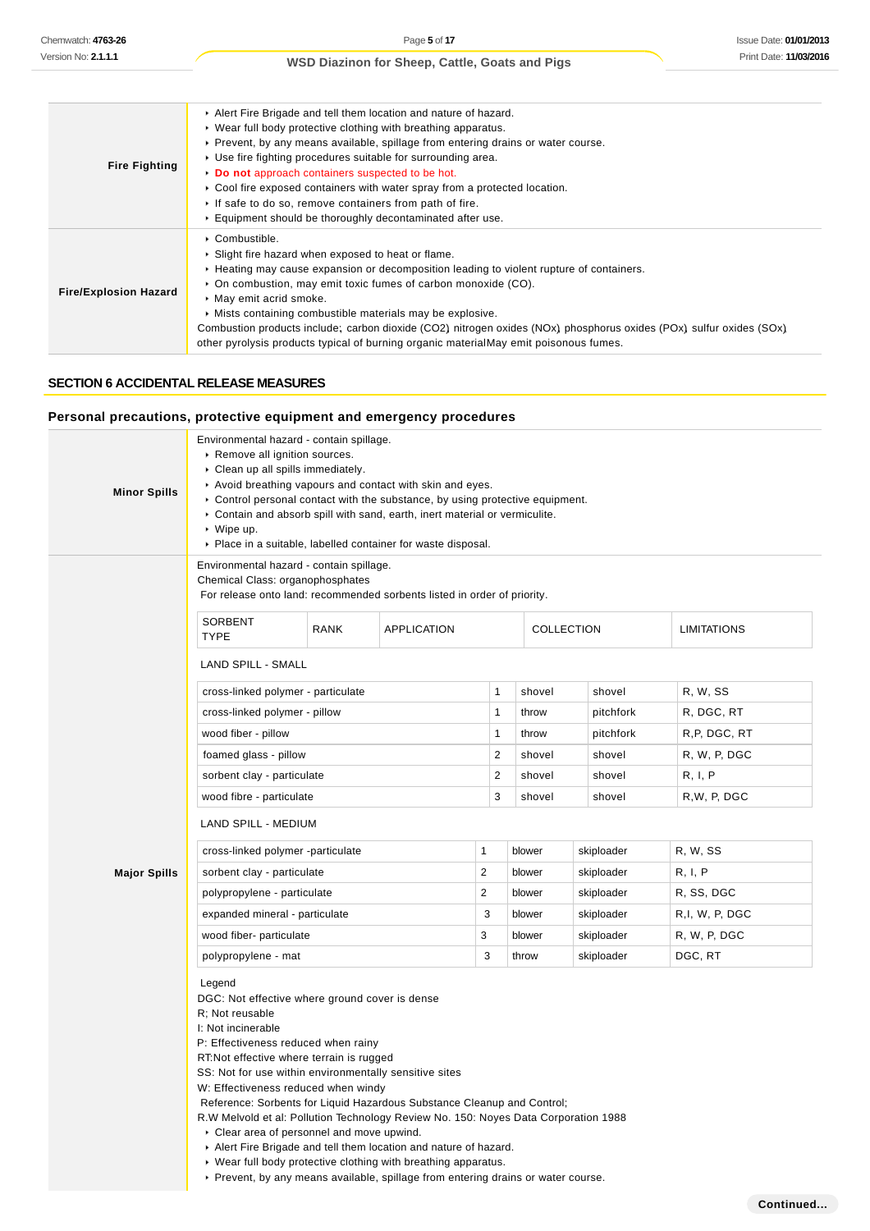| <b>Fire Fighting</b>         | Alert Fire Brigade and tell them location and nature of hazard.<br>• Wear full body protective clothing with breathing apparatus.<br>► Prevent, by any means available, spillage from entering drains or water course.<br>▶ Use fire fighting procedures suitable for surrounding area.<br>Do not approach containers suspected to be hot.<br>► Cool fire exposed containers with water spray from a protected location.<br>If safe to do so, remove containers from path of fire.<br>Equipment should be thoroughly decontaminated after use. |
|------------------------------|------------------------------------------------------------------------------------------------------------------------------------------------------------------------------------------------------------------------------------------------------------------------------------------------------------------------------------------------------------------------------------------------------------------------------------------------------------------------------------------------------------------------------------------------|
| <b>Fire/Explosion Hazard</b> | • Combustible.<br>Slight fire hazard when exposed to heat or flame.<br>► Heating may cause expansion or decomposition leading to violent rupture of containers.<br>• On combustion, may emit toxic fumes of carbon monoxide (CO).<br>May emit acrid smoke.<br>• Mists containing combustible materials may be explosive.<br>Combustion products include; carbon dioxide (CO2) nitrogen oxides (NOx) phosphorus oxides (POx) sulfur oxides (SOx)<br>other pyrolysis products typical of burning organic materialMay emit poisonous fumes.       |

#### **SECTION 6 ACCIDENTAL RELEASE MEASURES**

#### **Personal precautions, protective equipment and emergency procedures**

| <b>Minor Spills</b> | Remove all ignition sources.<br>Clean up all spills immediately.<br>Avoid breathing vapours and contact with skin and eyes.<br>► Control personal contact with the substance, by using protective equipment.<br>Contain and absorb spill with sand, earth, inert material or vermiculite.<br>$\cdot$ Wipe up.<br>▶ Place in a suitable, labelled container for waste disposal. |             |                    |                |        |            |                    |
|---------------------|--------------------------------------------------------------------------------------------------------------------------------------------------------------------------------------------------------------------------------------------------------------------------------------------------------------------------------------------------------------------------------|-------------|--------------------|----------------|--------|------------|--------------------|
|                     | Environmental hazard - contain spillage.<br>Chemical Class: organophosphates<br>For release onto land: recommended sorbents listed in order of priority.                                                                                                                                                                                                                       |             |                    |                |        |            |                    |
|                     | <b>SORBENT</b><br><b>TYPE</b>                                                                                                                                                                                                                                                                                                                                                  | <b>RANK</b> | <b>APPLICATION</b> |                |        | COLLECTION | <b>LIMITATIONS</b> |
|                     | <b>LAND SPILL - SMALL</b>                                                                                                                                                                                                                                                                                                                                                      |             |                    |                |        |            |                    |
|                     | cross-linked polymer - particulate                                                                                                                                                                                                                                                                                                                                             |             |                    | 1              | shovel | shovel     | R, W, SS           |
|                     | cross-linked polymer - pillow                                                                                                                                                                                                                                                                                                                                                  |             |                    | 1              | throw  | pitchfork  | R, DGC, RT         |
|                     | wood fiber - pillow                                                                                                                                                                                                                                                                                                                                                            |             |                    | 1              | throw  | pitchfork  | R,P, DGC, RT       |
|                     | foamed glass - pillow                                                                                                                                                                                                                                                                                                                                                          |             |                    | $\overline{2}$ | shovel | shovel     | R, W, P, DGC       |
|                     | sorbent clay - particulate                                                                                                                                                                                                                                                                                                                                                     |             |                    | $\overline{2}$ | shovel | shovel     | R, I, P            |
|                     | wood fibre - particulate                                                                                                                                                                                                                                                                                                                                                       |             |                    | 3              | shovel | shovel     | R.W. P. DGC        |
|                     | LAND SPILL - MEDIUM                                                                                                                                                                                                                                                                                                                                                            |             |                    |                |        |            |                    |
|                     | cross-linked polymer -particulate                                                                                                                                                                                                                                                                                                                                              |             |                    | $\mathbf{1}$   | blower | skiploader | R, W, SS           |
| <b>Major Spills</b> | sorbent clay - particulate                                                                                                                                                                                                                                                                                                                                                     |             |                    | $\overline{2}$ | blower | skiploader | R, I, P            |
|                     | polypropylene - particulate                                                                                                                                                                                                                                                                                                                                                    |             |                    | $\overline{2}$ | blower | skiploader | R, SS, DGC         |
|                     | expanded mineral - particulate                                                                                                                                                                                                                                                                                                                                                 |             |                    | 3              | blower | skiploader | R, I, W, P, DGC    |
|                     | wood fiber- particulate                                                                                                                                                                                                                                                                                                                                                        |             |                    | 3              | blower | skiploader | R, W, P, DGC       |
|                     | polypropylene - mat                                                                                                                                                                                                                                                                                                                                                            |             |                    | 3              | throw  | skiploader | DGC, RT            |

R; Not reusable

I: Not incinerable

P: Effectiveness reduced when rainy

RT:Not effective where terrain is rugged

SS: Not for use within environmentally sensitive sites

W: Effectiveness reduced when windy

Reference: Sorbents for Liquid Hazardous Substance Cleanup and Control;

R.W Melvold et al: Pollution Technology Review No. 150: Noyes Data Corporation 1988

Clear area of personnel and move upwind.

- Alert Fire Brigade and tell them location and nature of hazard.
- Wear full body protective clothing with breathing apparatus.

Prevent, by any means available, spillage from entering drains or water course.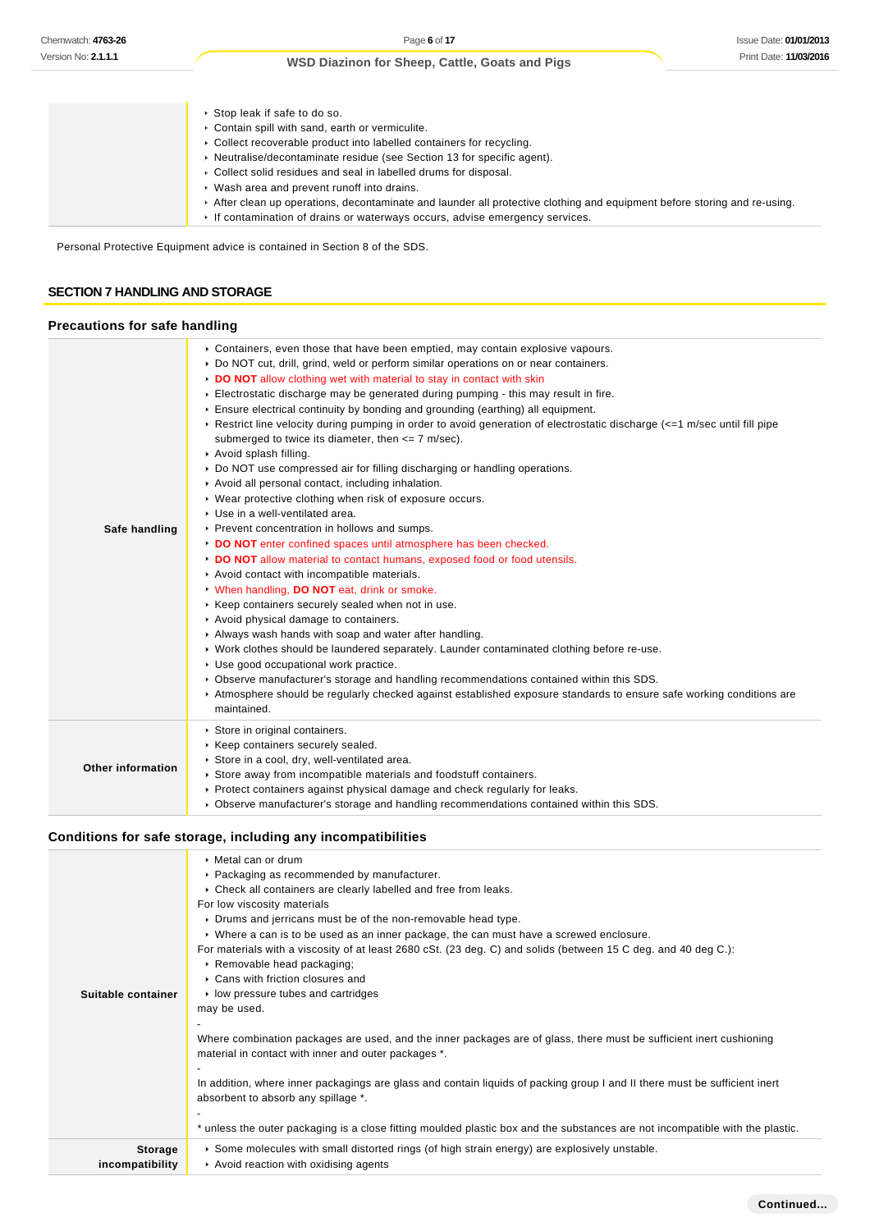| ▶ Stop leak if safe to do so.                                                                                           |
|-------------------------------------------------------------------------------------------------------------------------|
| Contain spill with sand, earth or vermiculite.                                                                          |
| • Collect recoverable product into labelled containers for recycling.                                                   |
| • Neutralise/decontaminate residue (see Section 13 for specific agent).                                                 |
| • Collect solid residues and seal in labelled drums for disposal.                                                       |
| ▶ Wash area and prevent runoff into drains.                                                                             |
| After clean up operations, decontaminate and launder all protective clothing and equipment before storing and re-using. |
| If contamination of drains or waterways occurs, advise emergency services.                                              |
|                                                                                                                         |

Personal Protective Equipment advice is contained in Section 8 of the SDS.

### **SECTION 7 HANDLING AND STORAGE**

### **Precautions for safe handling**

| Safe handling     | ► Containers, even those that have been emptied, may contain explosive vapours.<br>▶ Do NOT cut, drill, grind, weld or perform similar operations on or near containers.<br>DO NOT allow clothing wet with material to stay in contact with skin<br>Electrostatic discharge may be generated during pumping - this may result in fire.<br>Ensure electrical continuity by bonding and grounding (earthing) all equipment.<br>► Restrict line velocity during pumping in order to avoid generation of electrostatic discharge (<=1 m/sec until fill pipe<br>submerged to twice its diameter, then $\leq$ 7 m/sec).<br>Avoid splash filling.<br>► Do NOT use compressed air for filling discharging or handling operations.<br>Avoid all personal contact, including inhalation.<br>▶ Wear protective clothing when risk of exposure occurs.<br>Use in a well-ventilated area.<br>▶ Prevent concentration in hollows and sumps.<br>DO NOT enter confined spaces until atmosphere has been checked.<br>DO NOT allow material to contact humans, exposed food or food utensils.<br>Avoid contact with incompatible materials.<br>V When handling, DO NOT eat, drink or smoke.<br>▶ Keep containers securely sealed when not in use.<br>Avoid physical damage to containers.<br>Always wash hands with soap and water after handling.<br>► Work clothes should be laundered separately. Launder contaminated clothing before re-use.<br>Use good occupational work practice.<br>► Observe manufacturer's storage and handling recommendations contained within this SDS.<br>▶ Atmosphere should be regularly checked against established exposure standards to ensure safe working conditions are<br>maintained. |
|-------------------|-------------------------------------------------------------------------------------------------------------------------------------------------------------------------------------------------------------------------------------------------------------------------------------------------------------------------------------------------------------------------------------------------------------------------------------------------------------------------------------------------------------------------------------------------------------------------------------------------------------------------------------------------------------------------------------------------------------------------------------------------------------------------------------------------------------------------------------------------------------------------------------------------------------------------------------------------------------------------------------------------------------------------------------------------------------------------------------------------------------------------------------------------------------------------------------------------------------------------------------------------------------------------------------------------------------------------------------------------------------------------------------------------------------------------------------------------------------------------------------------------------------------------------------------------------------------------------------------------------------------------------------------------------------------------------------------------------------|
| Other information | Store in original containers.<br>▶ Keep containers securely sealed.<br>Store in a cool, dry, well-ventilated area.<br>Store away from incompatible materials and foodstuff containers.<br>▶ Protect containers against physical damage and check regularly for leaks.<br>▶ Observe manufacturer's storage and handling recommendations contained within this SDS.                                                                                                                                                                                                                                                                                                                                                                                                                                                                                                                                                                                                                                                                                                                                                                                                                                                                                                                                                                                                                                                                                                                                                                                                                                                                                                                                           |

## **Conditions for safe storage, including any incompatibilities**

| Suitable container                | ▶ Metal can or drum<br>• Packaging as recommended by manufacturer.<br>▶ Check all containers are clearly labelled and free from leaks.<br>For low viscosity materials<br>Drums and jerricans must be of the non-removable head type.<br>▶ Where a can is to be used as an inner package, the can must have a screwed enclosure.<br>For materials with a viscosity of at least 2680 cSt. (23 deg. C) and solids (between 15 C deg. and 40 deg C.):<br>Removable head packaging;<br>▶ Cans with friction closures and<br>$\triangleright$ low pressure tubes and cartridges<br>may be used.<br>Where combination packages are used, and the inner packages are of glass, there must be sufficient inert cushioning<br>material in contact with inner and outer packages *.<br>In addition, where inner packagings are glass and contain liquids of packing group I and II there must be sufficient inert<br>absorbent to absorb any spillage *.<br>* unless the outer packaging is a close fitting moulded plastic box and the substances are not incompatible with the plastic. |
|-----------------------------------|--------------------------------------------------------------------------------------------------------------------------------------------------------------------------------------------------------------------------------------------------------------------------------------------------------------------------------------------------------------------------------------------------------------------------------------------------------------------------------------------------------------------------------------------------------------------------------------------------------------------------------------------------------------------------------------------------------------------------------------------------------------------------------------------------------------------------------------------------------------------------------------------------------------------------------------------------------------------------------------------------------------------------------------------------------------------------------|
| <b>Storage</b><br>incompatibility | $\triangleright$ Some molecules with small distorted rings (of high strain energy) are explosively unstable.<br>Avoid reaction with oxidising agents                                                                                                                                                                                                                                                                                                                                                                                                                                                                                                                                                                                                                                                                                                                                                                                                                                                                                                                           |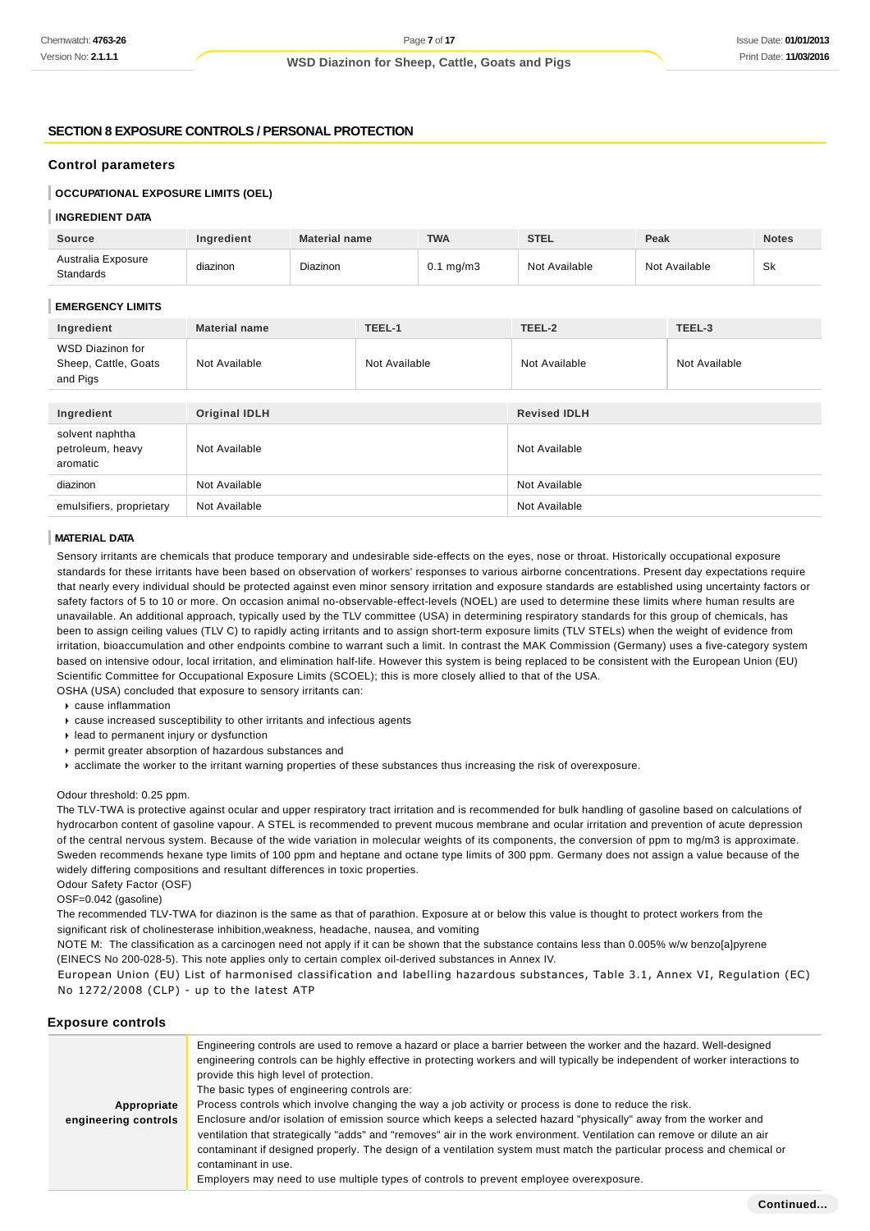## **SECTION 8 EXPOSURE CONTROLS / PERSONAL PROTECTION**

## **Control parameters**

## **OCCUPATIONAL EXPOSURE LIMITS (OEL)**

## **INGREDIENT DATA**

| <b>Source</b>                                               | Ingredient           | <b>Material name</b> |               | <b>TWA</b>     | <b>STEL</b>         | Peak |               | <b>Notes</b> |
|-------------------------------------------------------------|----------------------|----------------------|---------------|----------------|---------------------|------|---------------|--------------|
| Australia Exposure<br><b>Standards</b>                      | diazinon             | Diazinon             |               | $0.1$ mg/m $3$ | Not Available       |      | Not Available | Sk           |
| <b>EMERGENCY LIMITS</b>                                     |                      |                      |               |                |                     |      |               |              |
| Ingredient                                                  | <b>Material name</b> |                      | TEEL-1        |                | TEEL-2              |      | TEEL-3        |              |
| <b>WSD Diazinon for</b><br>Sheep, Cattle, Goats<br>and Pigs | Not Available        |                      | Not Available |                | Not Available       |      | Not Available |              |
| Ingredient                                                  | <b>Original IDLH</b> |                      |               |                | <b>Revised IDLH</b> |      |               |              |
| solvent naphtha<br>petroleum, heavy<br>aromatic             | Not Available        |                      | Not Available |                |                     |      |               |              |
| diazinon                                                    | Not Available        |                      |               | Not Available  |                     |      |               |              |
| emulsifiers, proprietary                                    | Not Available        |                      | Not Available |                |                     |      |               |              |

#### **MATERIAL DATA**

Sensory irritants are chemicals that produce temporary and undesirable side-effects on the eyes, nose or throat. Historically occupational exposure standards for these irritants have been based on observation of workers' responses to various airborne concentrations. Present day expectations require that nearly every individual should be protected against even minor sensory irritation and exposure standards are established using uncertainty factors or safety factors of 5 to 10 or more. On occasion animal no-observable-effect-levels (NOEL) are used to determine these limits where human results are unavailable. An additional approach, typically used by the TLV committee (USA) in determining respiratory standards for this group of chemicals, has been to assign ceiling values (TLV C) to rapidly acting irritants and to assign short-term exposure limits (TLV STELs) when the weight of evidence from irritation, bioaccumulation and other endpoints combine to warrant such a limit. In contrast the MAK Commission (Germany) uses a five-category system based on intensive odour, local irritation, and elimination half-life. However this system is being replaced to be consistent with the European Union (EU) Scientific Committee for Occupational Exposure Limits (SCOEL); this is more closely allied to that of the USA.

OSHA (USA) concluded that exposure to sensory irritants can:

- cause inflammation
- cause increased susceptibility to other irritants and infectious agents
- lead to permanent injury or dysfunction
- permit greater absorption of hazardous substances and
- acclimate the worker to the irritant warning properties of these substances thus increasing the risk of overexposure.

#### Odour threshold: 0.25 ppm.

The TLV-TWA is protective against ocular and upper respiratory tract irritation and is recommended for bulk handling of gasoline based on calculations of hydrocarbon content of gasoline vapour. A STEL is recommended to prevent mucous membrane and ocular irritation and prevention of acute depression of the central nervous system. Because of the wide variation in molecular weights of its components, the conversion of ppm to mg/m3 is approximate. Sweden recommends hexane type limits of 100 ppm and heptane and octane type limits of 300 ppm. Germany does not assign a value because of the widely differing compositions and resultant differences in toxic properties.

Odour Safety Factor (OSF)

OSF=0.042 (gasoline)

The recommended TLV-TWA for diazinon is the same as that of parathion. Exposure at or below this value is thought to protect workers from the significant risk of cholinesterase inhibition,weakness, headache, nausea, and vomiting

NOTE M: The classification as a carcinogen need not apply if it can be shown that the substance contains less than 0.005% w/w benzo[a]pyrene (EINECS No 200-028-5). This note applies only to certain complex oil-derived substances in Annex IV.

European Union (EU) List of harmonised classification and labelling hazardous substances, Table 3.1, Annex VI, Regulation (EC) No 1272/2008 (CLP) - up to the latest ATP

#### **Exposure controls**

| Appropriate<br>engineering controls | Engineering controls are used to remove a hazard or place a barrier between the worker and the hazard. Well-designed<br>engineering controls can be highly effective in protecting workers and will typically be independent of worker interactions to<br>provide this high level of protection.<br>The basic types of engineering controls are:<br>Process controls which involve changing the way a job activity or process is done to reduce the risk.<br>Enclosure and/or isolation of emission source which keeps a selected hazard "physically" away from the worker and<br>ventilation that strategically "adds" and "removes" air in the work environment. Ventilation can remove or dilute an air<br>contaminant if designed properly. The design of a ventilation system must match the particular process and chemical or<br>contaminant in use.<br>Employers may need to use multiple types of controls to prevent employee overexposure. |
|-------------------------------------|-------------------------------------------------------------------------------------------------------------------------------------------------------------------------------------------------------------------------------------------------------------------------------------------------------------------------------------------------------------------------------------------------------------------------------------------------------------------------------------------------------------------------------------------------------------------------------------------------------------------------------------------------------------------------------------------------------------------------------------------------------------------------------------------------------------------------------------------------------------------------------------------------------------------------------------------------------|
|                                     |                                                                                                                                                                                                                                                                                                                                                                                                                                                                                                                                                                                                                                                                                                                                                                                                                                                                                                                                                       |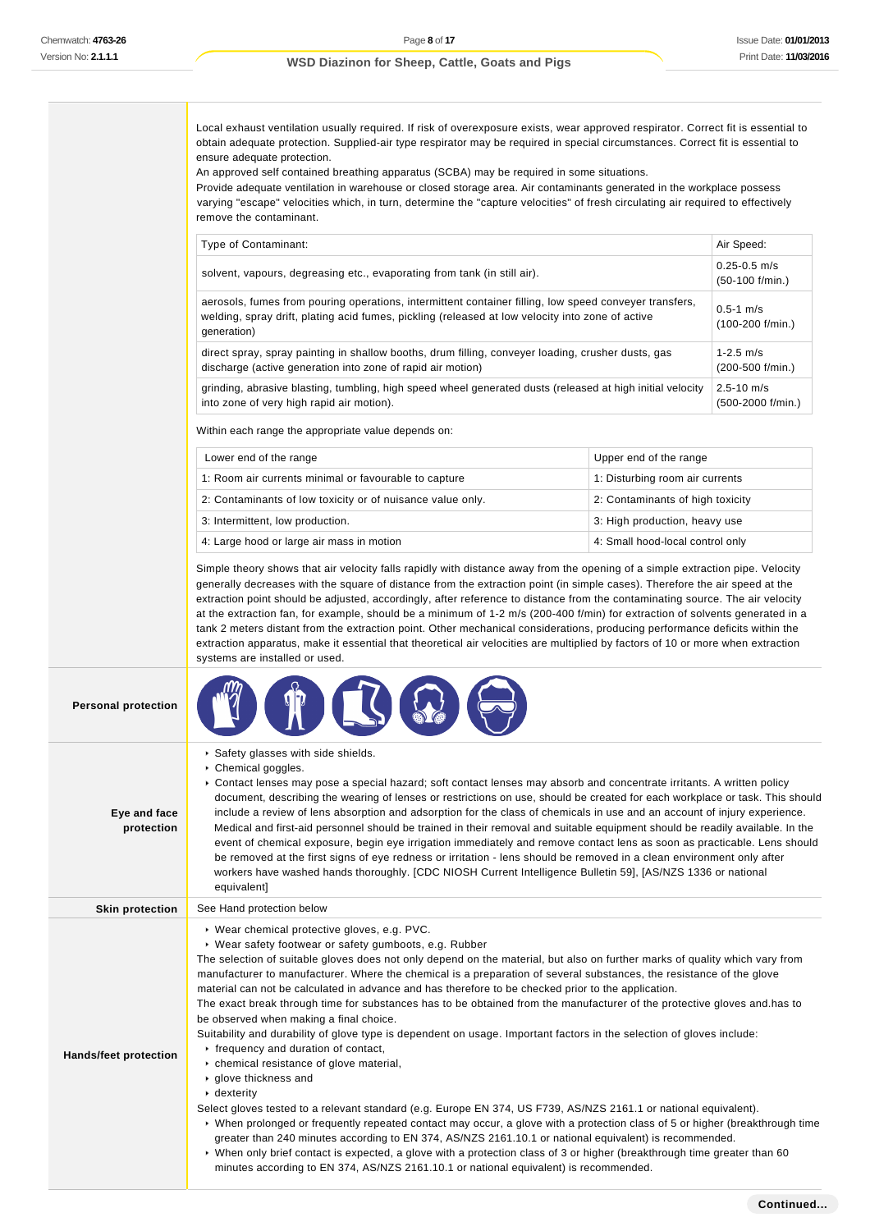Local exhaust ventilation usually required. If risk of overexposure exists, wear approved respirator. Correct fit is essential to obtain adequate protection. Supplied-air type respirator may be required in special circumstances. Correct fit is essential to ensure adequate protection.

An approved self contained breathing apparatus (SCBA) may be required in some situations.

Provide adequate ventilation in warehouse or closed storage area. Air contaminants generated in the workplace possess varying "escape" velocities which, in turn, determine the "capture velocities" of fresh circulating air required to effectively remove the contaminant.

|                            | Type of Contaminant:                                                                                                                                                                                                                                                                                                                                                                                                                                                                                                                                                                                                                                                                                                                                                                                                                                                                                                                                                                                                                                                                                                                                                                                                                                               |                                       | Air Speed: |  |
|----------------------------|--------------------------------------------------------------------------------------------------------------------------------------------------------------------------------------------------------------------------------------------------------------------------------------------------------------------------------------------------------------------------------------------------------------------------------------------------------------------------------------------------------------------------------------------------------------------------------------------------------------------------------------------------------------------------------------------------------------------------------------------------------------------------------------------------------------------------------------------------------------------------------------------------------------------------------------------------------------------------------------------------------------------------------------------------------------------------------------------------------------------------------------------------------------------------------------------------------------------------------------------------------------------|---------------------------------------|------------|--|
|                            | solvent, vapours, degreasing etc., evaporating from tank (in still air).                                                                                                                                                                                                                                                                                                                                                                                                                                                                                                                                                                                                                                                                                                                                                                                                                                                                                                                                                                                                                                                                                                                                                                                           | $0.25 - 0.5$ m/s<br>$(50-100$ f/min.) |            |  |
|                            | aerosols, fumes from pouring operations, intermittent container filling, low speed conveyer transfers,<br>welding, spray drift, plating acid fumes, pickling (released at low velocity into zone of active<br>generation)                                                                                                                                                                                                                                                                                                                                                                                                                                                                                                                                                                                                                                                                                                                                                                                                                                                                                                                                                                                                                                          | $0.5 - 1$ m/s<br>$(100-200$ f/min.)   |            |  |
|                            | direct spray, spray painting in shallow booths, drum filling, conveyer loading, crusher dusts, gas<br>discharge (active generation into zone of rapid air motion)                                                                                                                                                                                                                                                                                                                                                                                                                                                                                                                                                                                                                                                                                                                                                                                                                                                                                                                                                                                                                                                                                                  | $1 - 2.5$ m/s<br>(200-500 f/min.)     |            |  |
|                            | $2.5 - 10$ m/s<br>grinding, abrasive blasting, tumbling, high speed wheel generated dusts (released at high initial velocity<br>into zone of very high rapid air motion).<br>(500-2000 f/min.)                                                                                                                                                                                                                                                                                                                                                                                                                                                                                                                                                                                                                                                                                                                                                                                                                                                                                                                                                                                                                                                                     |                                       |            |  |
|                            | Within each range the appropriate value depends on:                                                                                                                                                                                                                                                                                                                                                                                                                                                                                                                                                                                                                                                                                                                                                                                                                                                                                                                                                                                                                                                                                                                                                                                                                |                                       |            |  |
|                            | Lower end of the range                                                                                                                                                                                                                                                                                                                                                                                                                                                                                                                                                                                                                                                                                                                                                                                                                                                                                                                                                                                                                                                                                                                                                                                                                                             | Upper end of the range                |            |  |
|                            | 1: Room air currents minimal or favourable to capture                                                                                                                                                                                                                                                                                                                                                                                                                                                                                                                                                                                                                                                                                                                                                                                                                                                                                                                                                                                                                                                                                                                                                                                                              | 1: Disturbing room air currents       |            |  |
|                            | 2: Contaminants of low toxicity or of nuisance value only.                                                                                                                                                                                                                                                                                                                                                                                                                                                                                                                                                                                                                                                                                                                                                                                                                                                                                                                                                                                                                                                                                                                                                                                                         | 2: Contaminants of high toxicity      |            |  |
|                            | 3: Intermittent, low production.                                                                                                                                                                                                                                                                                                                                                                                                                                                                                                                                                                                                                                                                                                                                                                                                                                                                                                                                                                                                                                                                                                                                                                                                                                   | 3: High production, heavy use         |            |  |
|                            | 4: Large hood or large air mass in motion                                                                                                                                                                                                                                                                                                                                                                                                                                                                                                                                                                                                                                                                                                                                                                                                                                                                                                                                                                                                                                                                                                                                                                                                                          | 4: Small hood-local control only      |            |  |
|                            | generally decreases with the square of distance from the extraction point (in simple cases). Therefore the air speed at the<br>extraction point should be adjusted, accordingly, after reference to distance from the contaminating source. The air velocity<br>at the extraction fan, for example, should be a minimum of 1-2 m/s (200-400 f/min) for extraction of solvents generated in a<br>tank 2 meters distant from the extraction point. Other mechanical considerations, producing performance deficits within the<br>extraction apparatus, make it essential that theoretical air velocities are multiplied by factors of 10 or more when extraction<br>systems are installed or used.                                                                                                                                                                                                                                                                                                                                                                                                                                                                                                                                                                   |                                       |            |  |
| <b>Personal protection</b> |                                                                                                                                                                                                                                                                                                                                                                                                                                                                                                                                                                                                                                                                                                                                                                                                                                                                                                                                                                                                                                                                                                                                                                                                                                                                    |                                       |            |  |
| Eye and face<br>protection | Safety glasses with side shields.<br>Chemical goggles.<br>► Contact lenses may pose a special hazard; soft contact lenses may absorb and concentrate irritants. A written policy<br>document, describing the wearing of lenses or restrictions on use, should be created for each workplace or task. This should<br>include a review of lens absorption and adsorption for the class of chemicals in use and an account of injury experience.<br>Medical and first-aid personnel should be trained in their removal and suitable equipment should be readily available. In the<br>event of chemical exposure, begin eye irrigation immediately and remove contact lens as soon as practicable. Lens should<br>be removed at the first signs of eye redness or irritation - lens should be removed in a clean environment only after<br>workers have washed hands thoroughly. [CDC NIOSH Current Intelligence Bulletin 59], [AS/NZS 1336 or national<br>equivalent]                                                                                                                                                                                                                                                                                                 |                                       |            |  |
| <b>Skin protection</b>     | See Hand protection below                                                                                                                                                                                                                                                                                                                                                                                                                                                                                                                                                                                                                                                                                                                                                                                                                                                                                                                                                                                                                                                                                                                                                                                                                                          |                                       |            |  |
| Hands/feet protection      | ▶ Wear chemical protective gloves, e.g. PVC.<br>▶ Wear safety footwear or safety gumboots, e.g. Rubber<br>The selection of suitable gloves does not only depend on the material, but also on further marks of quality which vary from<br>manufacturer to manufacturer. Where the chemical is a preparation of several substances, the resistance of the glove<br>material can not be calculated in advance and has therefore to be checked prior to the application.<br>The exact break through time for substances has to be obtained from the manufacturer of the protective gloves and has to<br>be observed when making a final choice.<br>Suitability and durability of glove type is dependent on usage. Important factors in the selection of gloves include:<br>r frequency and duration of contact,<br>chemical resistance of glove material,<br>► glove thickness and<br>$\cdot$ dexterity<br>Select gloves tested to a relevant standard (e.g. Europe EN 374, US F739, AS/NZS 2161.1 or national equivalent).<br>▶ When prolonged or frequently repeated contact may occur, a glove with a protection class of 5 or higher (breakthrough time<br>greater than 240 minutes according to EN 374, AS/NZS 2161.10.1 or national equivalent) is recommended. |                                       |            |  |

minutes according to EN 374, AS/NZS 2161.10.1 or national equivalent) is recommended.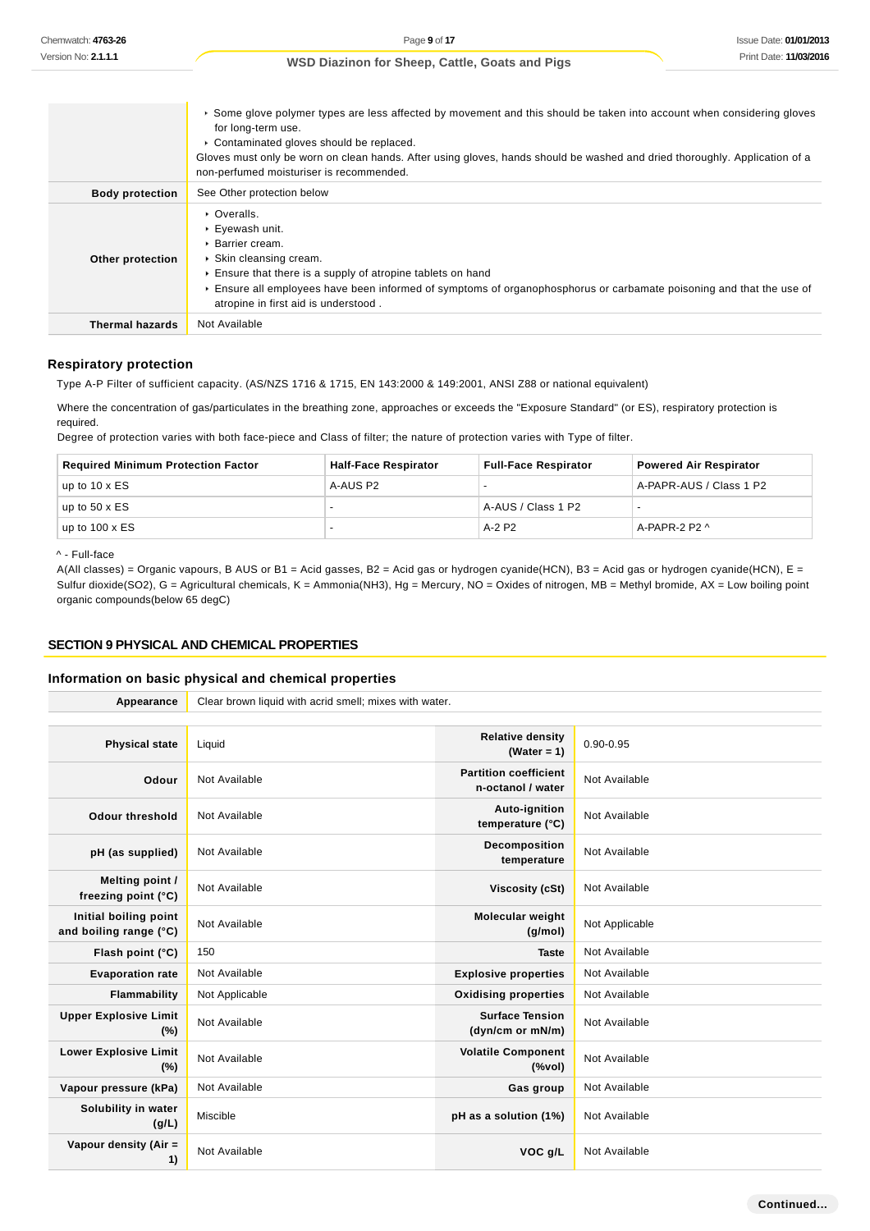|                        | ► Some glove polymer types are less affected by movement and this should be taken into account when considering gloves<br>for long-term use.<br>• Contaminated gloves should be replaced.<br>Gloves must only be worn on clean hands. After using gloves, hands should be washed and dried thoroughly. Application of a<br>non-perfumed moisturiser is recommended. |
|------------------------|---------------------------------------------------------------------------------------------------------------------------------------------------------------------------------------------------------------------------------------------------------------------------------------------------------------------------------------------------------------------|
| <b>Body protection</b> | See Other protection below                                                                                                                                                                                                                                                                                                                                          |
| Other protection       | • Overalls.<br>▶ Eyewash unit.<br>▶ Barrier cream.<br>▶ Skin cleansing cream.<br>Ensure that there is a supply of atropine tablets on hand<br>Ensure all employees have been informed of symptoms of organophosphorus or carbamate poisoning and that the use of<br>atropine in first aid is understood.                                                            |
| <b>Thermal hazards</b> | Not Available                                                                                                                                                                                                                                                                                                                                                       |

#### **Respiratory protection**

Type A-P Filter of sufficient capacity. (AS/NZS 1716 & 1715, EN 143:2000 & 149:2001, ANSI Z88 or national equivalent)

Where the concentration of gas/particulates in the breathing zone, approaches or exceeds the "Exposure Standard" (or ES), respiratory protection is required.

Degree of protection varies with both face-piece and Class of filter; the nature of protection varies with Type of filter.

| <b>Required Minimum Protection Factor</b> | <b>Half-Face Respirator</b> | <b>Full-Face Respirator</b> | <b>Powered Air Respirator</b> |
|-------------------------------------------|-----------------------------|-----------------------------|-------------------------------|
| up to $10 \times ES$                      | A-AUS P2                    |                             | A-PAPR-AUS / Class 1 P2       |
| up to $50 \times ES$                      |                             | A-AUS / Class 1 P2          |                               |
| up to $100 \times ES$                     |                             | A-2 P2                      | A-PAPR-2 P2 ^                 |

^ - Full-face

A(All classes) = Organic vapours, B AUS or B1 = Acid gasses, B2 = Acid gas or hydrogen cyanide(HCN), B3 = Acid gas or hydrogen cyanide(HCN), E = Sulfur dioxide(SO2), G = Agricultural chemicals, K = Ammonia(NH3), Hg = Mercury, NO = Oxides of nitrogen, MB = Methyl bromide, AX = Low boiling point organic compounds(below 65 degC)

#### **SECTION 9 PHYSICAL AND CHEMICAL PROPERTIES**

### **Information on basic physical and chemical properties**

| Appearance                                      | Clear brown liquid with acrid smell; mixes with water. |                                                   |                |  |
|-------------------------------------------------|--------------------------------------------------------|---------------------------------------------------|----------------|--|
|                                                 |                                                        |                                                   |                |  |
| <b>Physical state</b>                           | Liquid                                                 | <b>Relative density</b><br>(Water = $1$ )         | $0.90 - 0.95$  |  |
| Odour                                           | Not Available                                          | <b>Partition coefficient</b><br>n-octanol / water | Not Available  |  |
| Odour threshold                                 | Not Available                                          | Auto-ignition<br>temperature (°C)                 | Not Available  |  |
| pH (as supplied)                                | Not Available                                          | <b>Decomposition</b><br>temperature               | Not Available  |  |
| Melting point /<br>freezing point (°C)          | Not Available                                          | Viscosity (cSt)                                   | Not Available  |  |
| Initial boiling point<br>and boiling range (°C) | Not Available                                          | Molecular weight<br>(q/mol)                       | Not Applicable |  |
| Flash point (°C)                                | 150                                                    | <b>Taste</b>                                      | Not Available  |  |
| <b>Evaporation rate</b>                         | Not Available                                          | <b>Explosive properties</b>                       | Not Available  |  |
| Flammability                                    | Not Applicable                                         | <b>Oxidising properties</b>                       | Not Available  |  |
| <b>Upper Explosive Limit</b><br>(%)             | Not Available                                          | <b>Surface Tension</b><br>(dyn/cm or mN/m)        | Not Available  |  |
| <b>Lower Explosive Limit</b><br>(%)             | Not Available                                          | <b>Volatile Component</b><br>(%                   | Not Available  |  |
| Vapour pressure (kPa)                           | Not Available                                          | Gas group                                         | Not Available  |  |
| Solubility in water<br>(g/L)                    | Miscible                                               | pH as a solution (1%)                             | Not Available  |  |
| Vapour density (Air =<br>1)                     | Not Available                                          | VOC g/L                                           | Not Available  |  |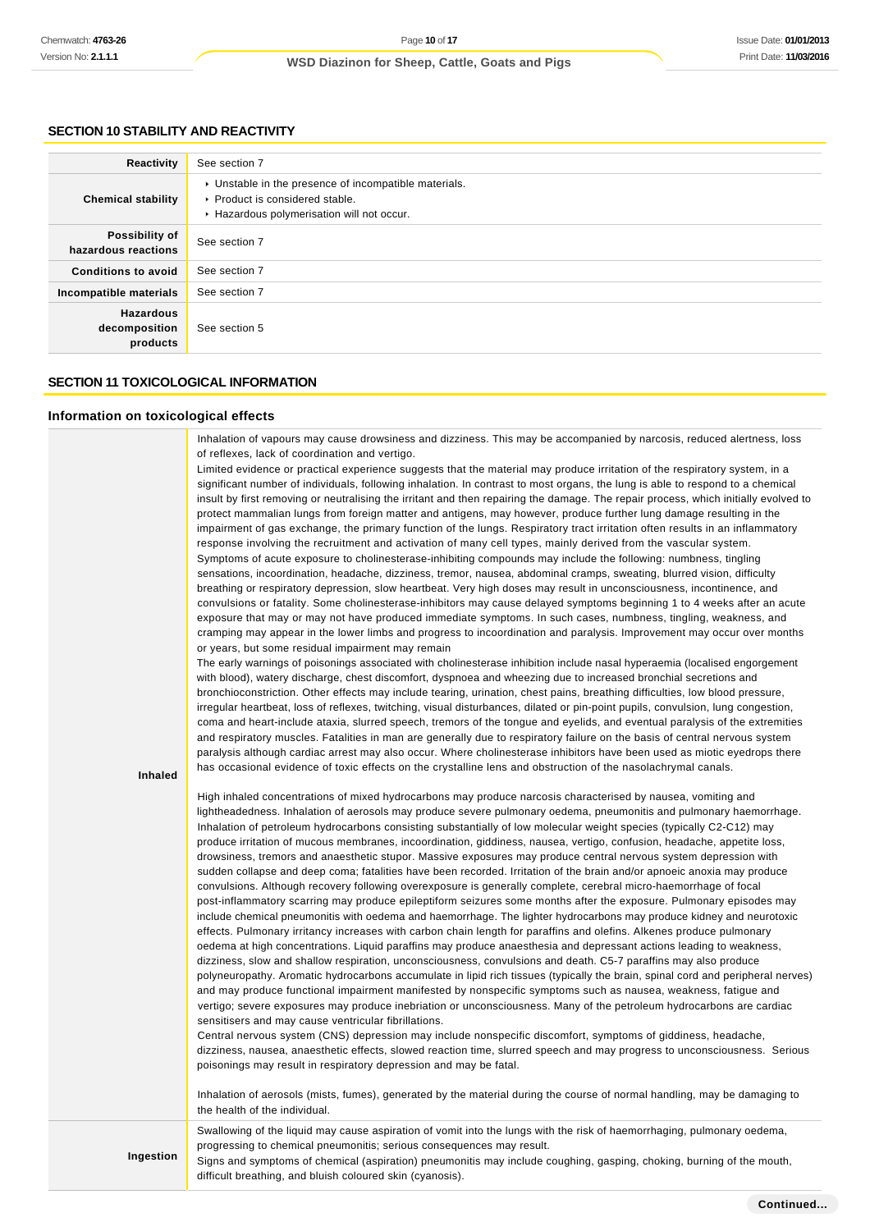### **SECTION 10 STABILITY AND REACTIVITY**

| Reactivity                                    | See section 7                                                                                                                        |
|-----------------------------------------------|--------------------------------------------------------------------------------------------------------------------------------------|
| <b>Chemical stability</b>                     | • Unstable in the presence of incompatible materials.<br>▶ Product is considered stable.<br>Hazardous polymerisation will not occur. |
| Possibility of<br>hazardous reactions         | See section 7                                                                                                                        |
| <b>Conditions to avoid</b>                    | See section 7                                                                                                                        |
| Incompatible materials                        | See section 7                                                                                                                        |
| <b>Hazardous</b><br>decomposition<br>products | See section 5                                                                                                                        |

## **SECTION 11 TOXICOLOGICAL INFORMATION**

#### **Information on toxicological effects**

Inhalation of vapours may cause drowsiness and dizziness. This may be accompanied by narcosis, reduced alertness, loss of reflexes, lack of coordination and vertigo.

Limited evidence or practical experience suggests that the material may produce irritation of the respiratory system, in a significant number of individuals, following inhalation. In contrast to most organs, the lung is able to respond to a chemical insult by first removing or neutralising the irritant and then repairing the damage. The repair process, which initially evolved to protect mammalian lungs from foreign matter and antigens, may however, produce further lung damage resulting in the impairment of gas exchange, the primary function of the lungs. Respiratory tract irritation often results in an inflammatory response involving the recruitment and activation of many cell types, mainly derived from the vascular system. Symptoms of acute exposure to cholinesterase-inhibiting compounds may include the following: numbness, tingling sensations, incoordination, headache, dizziness, tremor, nausea, abdominal cramps, sweating, blurred vision, difficulty breathing or respiratory depression, slow heartbeat. Very high doses may result in unconsciousness, incontinence, and convulsions or fatality. Some cholinesterase-inhibitors may cause delayed symptoms beginning 1 to 4 weeks after an acute exposure that may or may not have produced immediate symptoms. In such cases, numbness, tingling, weakness, and cramping may appear in the lower limbs and progress to incoordination and paralysis. Improvement may occur over months or years, but some residual impairment may remain

The early warnings of poisonings associated with cholinesterase inhibition include nasal hyperaemia (localised engorgement with blood), watery discharge, chest discomfort, dyspnoea and wheezing due to increased bronchial secretions and bronchioconstriction. Other effects may include tearing, urination, chest pains, breathing difficulties, low blood pressure, irregular heartbeat, loss of reflexes, twitching, visual disturbances, dilated or pin-point pupils, convulsion, lung congestion, coma and heart-include ataxia, slurred speech, tremors of the tongue and eyelids, and eventual paralysis of the extremities and respiratory muscles. Fatalities in man are generally due to respiratory failure on the basis of central nervous system paralysis although cardiac arrest may also occur. Where cholinesterase inhibitors have been used as miotic eyedrops there has occasional evidence of toxic effects on the crystalline lens and obstruction of the nasolachrymal canals.

#### **Inhaled**

High inhaled concentrations of mixed hydrocarbons may produce narcosis characterised by nausea, vomiting and lightheadedness. Inhalation of aerosols may produce severe pulmonary oedema, pneumonitis and pulmonary haemorrhage. Inhalation of petroleum hydrocarbons consisting substantially of low molecular weight species (typically C2-C12) may produce irritation of mucous membranes, incoordination, giddiness, nausea, vertigo, confusion, headache, appetite loss, drowsiness, tremors and anaesthetic stupor. Massive exposures may produce central nervous system depression with sudden collapse and deep coma; fatalities have been recorded. Irritation of the brain and/or apnoeic anoxia may produce convulsions. Although recovery following overexposure is generally complete, cerebral micro-haemorrhage of focal post-inflammatory scarring may produce epileptiform seizures some months after the exposure. Pulmonary episodes may include chemical pneumonitis with oedema and haemorrhage. The lighter hydrocarbons may produce kidney and neurotoxic effects. Pulmonary irritancy increases with carbon chain length for paraffins and olefins. Alkenes produce pulmonary oedema at high concentrations. Liquid paraffins may produce anaesthesia and depressant actions leading to weakness, dizziness, slow and shallow respiration, unconsciousness, convulsions and death. C5-7 paraffins may also produce polyneuropathy. Aromatic hydrocarbons accumulate in lipid rich tissues (typically the brain, spinal cord and peripheral nerves) and may produce functional impairment manifested by nonspecific symptoms such as nausea, weakness, fatigue and vertigo; severe exposures may produce inebriation or unconsciousness. Many of the petroleum hydrocarbons are cardiac sensitisers and may cause ventricular fibrillations.

Central nervous system (CNS) depression may include nonspecific discomfort, symptoms of giddiness, headache, dizziness, nausea, anaesthetic effects, slowed reaction time, slurred speech and may progress to unconsciousness. Serious poisonings may result in respiratory depression and may be fatal.

Inhalation of aerosols (mists, fumes), generated by the material during the course of normal handling, may be damaging to the health of the individual.

Swallowing of the liquid may cause aspiration of vomit into the lungs with the risk of haemorrhaging, pulmonary oedema, progressing to chemical pneumonitis; serious consequences may result.

**Ingestion**

Signs and symptoms of chemical (aspiration) pneumonitis may include coughing, gasping, choking, burning of the mouth, difficult breathing, and bluish coloured skin (cyanosis).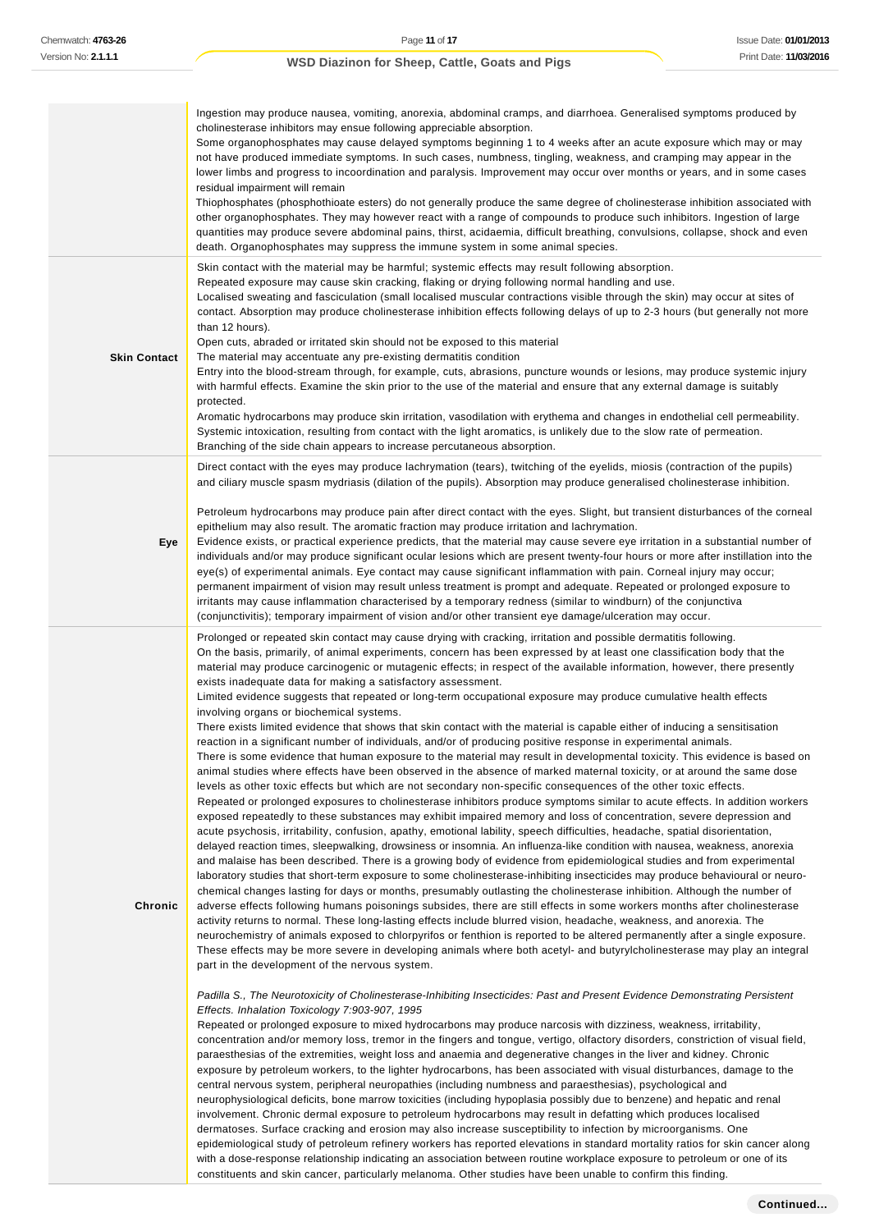|                     | Ingestion may produce nausea, vomiting, anorexia, abdominal cramps, and diarrhoea. Generalised symptoms produced by<br>cholinesterase inhibitors may ensue following appreciable absorption.<br>Some organophosphates may cause delayed symptoms beginning 1 to 4 weeks after an acute exposure which may or may<br>not have produced immediate symptoms. In such cases, numbness, tingling, weakness, and cramping may appear in the<br>lower limbs and progress to incoordination and paralysis. Improvement may occur over months or years, and in some cases<br>residual impairment will remain<br>Thiophosphates (phosphothioate esters) do not generally produce the same degree of cholinesterase inhibition associated with<br>other organophosphates. They may however react with a range of compounds to produce such inhibitors. Ingestion of large<br>quantities may produce severe abdominal pains, thirst, acidaemia, difficult breathing, convulsions, collapse, shock and even<br>death. Organophosphates may suppress the immune system in some animal species.                                                                                                                                                                                                                                                                                                                                                                                                                                                                                                                                                                                                                                                                                                                                                                                                                                                                                                                                                                                                                                                                                                                                                                                                                                                                                                                                                                                                                                                                                                                                                                                                                                                                                                                                                                                                                                                                                                                                                                                                                                                                                                                                                                                                                                                                                                                                                                                                                                                                                                                                                                                                                                                                                                                                                                                                                                                                                                                                           |
|---------------------|----------------------------------------------------------------------------------------------------------------------------------------------------------------------------------------------------------------------------------------------------------------------------------------------------------------------------------------------------------------------------------------------------------------------------------------------------------------------------------------------------------------------------------------------------------------------------------------------------------------------------------------------------------------------------------------------------------------------------------------------------------------------------------------------------------------------------------------------------------------------------------------------------------------------------------------------------------------------------------------------------------------------------------------------------------------------------------------------------------------------------------------------------------------------------------------------------------------------------------------------------------------------------------------------------------------------------------------------------------------------------------------------------------------------------------------------------------------------------------------------------------------------------------------------------------------------------------------------------------------------------------------------------------------------------------------------------------------------------------------------------------------------------------------------------------------------------------------------------------------------------------------------------------------------------------------------------------------------------------------------------------------------------------------------------------------------------------------------------------------------------------------------------------------------------------------------------------------------------------------------------------------------------------------------------------------------------------------------------------------------------------------------------------------------------------------------------------------------------------------------------------------------------------------------------------------------------------------------------------------------------------------------------------------------------------------------------------------------------------------------------------------------------------------------------------------------------------------------------------------------------------------------------------------------------------------------------------------------------------------------------------------------------------------------------------------------------------------------------------------------------------------------------------------------------------------------------------------------------------------------------------------------------------------------------------------------------------------------------------------------------------------------------------------------------------------------------------------------------------------------------------------------------------------------------------------------------------------------------------------------------------------------------------------------------------------------------------------------------------------------------------------------------------------------------------------------------------------------------------------------------------------------------------------------------------------------------------------------------------------------------------------------------|
| <b>Skin Contact</b> | Skin contact with the material may be harmful; systemic effects may result following absorption.<br>Repeated exposure may cause skin cracking, flaking or drying following normal handling and use.<br>Localised sweating and fasciculation (small localised muscular contractions visible through the skin) may occur at sites of<br>contact. Absorption may produce cholinesterase inhibition effects following delays of up to 2-3 hours (but generally not more<br>than 12 hours).<br>Open cuts, abraded or irritated skin should not be exposed to this material<br>The material may accentuate any pre-existing dermatitis condition<br>Entry into the blood-stream through, for example, cuts, abrasions, puncture wounds or lesions, may produce systemic injury<br>with harmful effects. Examine the skin prior to the use of the material and ensure that any external damage is suitably<br>protected.<br>Aromatic hydrocarbons may produce skin irritation, vasodilation with erythema and changes in endothelial cell permeability.<br>Systemic intoxication, resulting from contact with the light aromatics, is unlikely due to the slow rate of permeation.<br>Branching of the side chain appears to increase percutaneous absorption.                                                                                                                                                                                                                                                                                                                                                                                                                                                                                                                                                                                                                                                                                                                                                                                                                                                                                                                                                                                                                                                                                                                                                                                                                                                                                                                                                                                                                                                                                                                                                                                                                                                                                                                                                                                                                                                                                                                                                                                                                                                                                                                                                                                                                                                                                                                                                                                                                                                                                                                                                                                                                                                                                                                                                                    |
| Eye                 | Direct contact with the eyes may produce lachrymation (tears), twitching of the eyelids, miosis (contraction of the pupils)<br>and ciliary muscle spasm mydriasis (dilation of the pupils). Absorption may produce generalised cholinesterase inhibition.<br>Petroleum hydrocarbons may produce pain after direct contact with the eyes. Slight, but transient disturbances of the corneal<br>epithelium may also result. The aromatic fraction may produce irritation and lachrymation.<br>Evidence exists, or practical experience predicts, that the material may cause severe eye irritation in a substantial number of<br>individuals and/or may produce significant ocular lesions which are present twenty-four hours or more after instillation into the<br>eye(s) of experimental animals. Eye contact may cause significant inflammation with pain. Corneal injury may occur;<br>permanent impairment of vision may result unless treatment is prompt and adequate. Repeated or prolonged exposure to<br>irritants may cause inflammation characterised by a temporary redness (similar to windburn) of the conjunctiva<br>(conjunctivitis); temporary impairment of vision and/or other transient eye damage/ulceration may occur.                                                                                                                                                                                                                                                                                                                                                                                                                                                                                                                                                                                                                                                                                                                                                                                                                                                                                                                                                                                                                                                                                                                                                                                                                                                                                                                                                                                                                                                                                                                                                                                                                                                                                                                                                                                                                                                                                                                                                                                                                                                                                                                                                                                                                                                                                                                                                                                                                                                                                                                                                                                                                                                                                                                                                                              |
| Chronic             | Prolonged or repeated skin contact may cause drying with cracking, irritation and possible dermatitis following.<br>On the basis, primarily, of animal experiments, concern has been expressed by at least one classification body that the<br>material may produce carcinogenic or mutagenic effects; in respect of the available information, however, there presently<br>exists inadequate data for making a satisfactory assessment.<br>Limited evidence suggests that repeated or long-term occupational exposure may produce cumulative health effects<br>involving organs or biochemical systems.<br>There exists limited evidence that shows that skin contact with the material is capable either of inducing a sensitisation<br>reaction in a significant number of individuals, and/or of producing positive response in experimental animals.<br>There is some evidence that human exposure to the material may result in developmental toxicity. This evidence is based on<br>animal studies where effects have been observed in the absence of marked maternal toxicity, or at around the same dose<br>levels as other toxic effects but which are not secondary non-specific consequences of the other toxic effects.<br>Repeated or prolonged exposures to cholinesterase inhibitors produce symptoms similar to acute effects. In addition workers<br>exposed repeatedly to these substances may exhibit impaired memory and loss of concentration, severe depression and<br>acute psychosis, irritability, confusion, apathy, emotional lability, speech difficulties, headache, spatial disorientation,<br>delayed reaction times, sleepwalking, drowsiness or insomnia. An influenza-like condition with nausea, weakness, anorexia<br>and malaise has been described. There is a growing body of evidence from epidemiological studies and from experimental<br>laboratory studies that short-term exposure to some cholinesterase-inhibiting insecticides may produce behavioural or neuro-<br>chemical changes lasting for days or months, presumably outlasting the cholinesterase inhibition. Although the number of<br>adverse effects following humans poisonings subsides, there are still effects in some workers months after cholinesterase<br>activity returns to normal. These long-lasting effects include blurred vision, headache, weakness, and anorexia. The<br>neurochemistry of animals exposed to chlorpyrifos or fenthion is reported to be altered permanently after a single exposure.<br>These effects may be more severe in developing animals where both acetyl- and butyrylcholinesterase may play an integral<br>part in the development of the nervous system.<br>Padilla S., The Neurotoxicity of Cholinesterase-Inhibiting Insecticides: Past and Present Evidence Demonstrating Persistent<br>Effects. Inhalation Toxicology 7:903-907, 1995<br>Repeated or prolonged exposure to mixed hydrocarbons may produce narcosis with dizziness, weakness, irritability,<br>concentration and/or memory loss, tremor in the fingers and tongue, vertigo, olfactory disorders, constriction of visual field,<br>paraesthesias of the extremities, weight loss and anaemia and degenerative changes in the liver and kidney. Chronic<br>exposure by petroleum workers, to the lighter hydrocarbons, has been associated with visual disturbances, damage to the<br>central nervous system, peripheral neuropathies (including numbness and paraesthesias), psychological and<br>neurophysiological deficits, bone marrow toxicities (including hypoplasia possibly due to benzene) and hepatic and renal<br>involvement. Chronic dermal exposure to petroleum hydrocarbons may result in defatting which produces localised<br>dermatoses. Surface cracking and erosion may also increase susceptibility to infection by microorganisms. One<br>epidemiological study of petroleum refinery workers has reported elevations in standard mortality ratios for skin cancer along |

with a dose-response relationship indicating an association between routine workplace exposure to petroleum or one of its

constituents and skin cancer, particularly melanoma. Other studies have been unable to confirm this finding.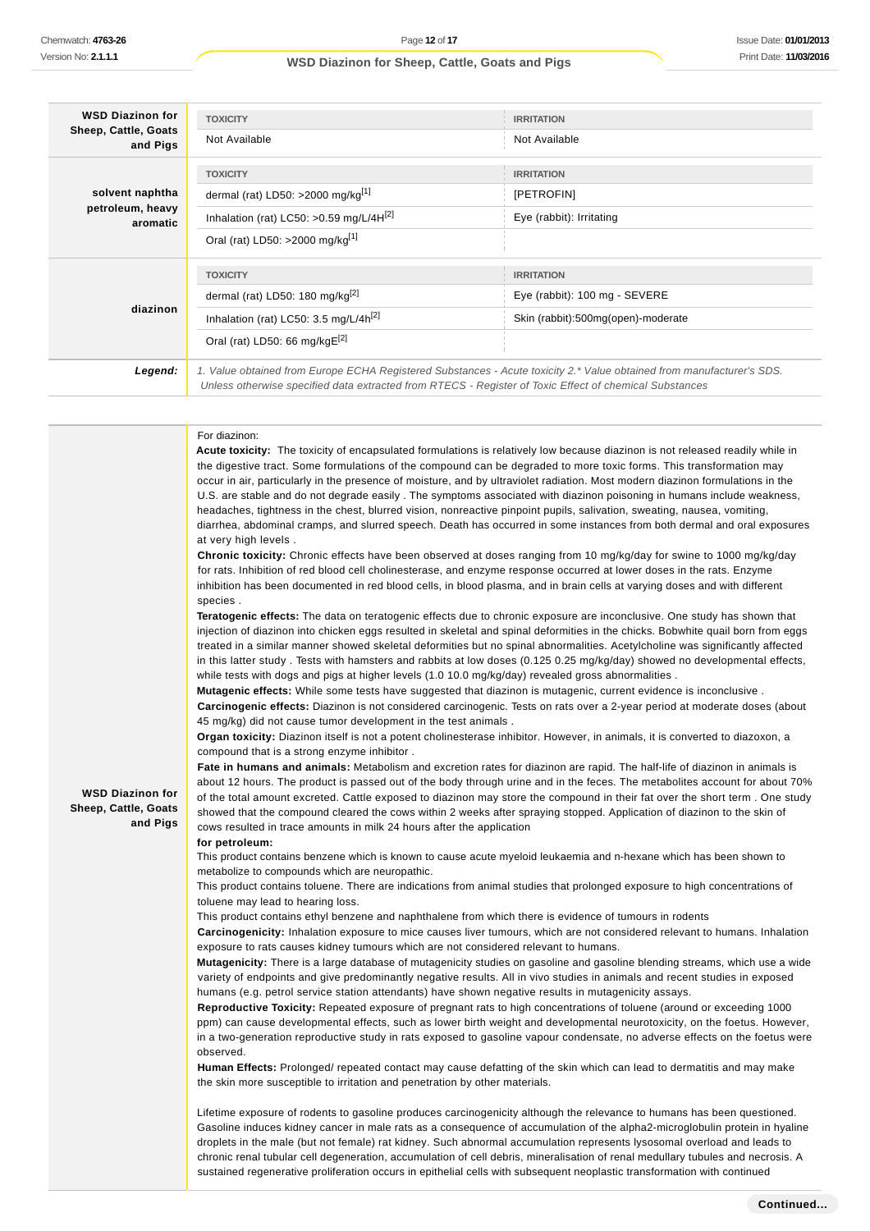| <b>WSD Diazinon for</b>          | <b>TOXICITY</b><br><b>IRRITATION</b>                                                                                                                                                                                                                                                                                                                                                                                                                                                                                                                                                                                                                                              |                                                                                                                                                                                                                                                    |  |
|----------------------------------|-----------------------------------------------------------------------------------------------------------------------------------------------------------------------------------------------------------------------------------------------------------------------------------------------------------------------------------------------------------------------------------------------------------------------------------------------------------------------------------------------------------------------------------------------------------------------------------------------------------------------------------------------------------------------------------|----------------------------------------------------------------------------------------------------------------------------------------------------------------------------------------------------------------------------------------------------|--|
| Sheep, Cattle, Goats<br>and Pigs | Not Available                                                                                                                                                                                                                                                                                                                                                                                                                                                                                                                                                                                                                                                                     | Not Available                                                                                                                                                                                                                                      |  |
|                                  | <b>TOXICITY</b>                                                                                                                                                                                                                                                                                                                                                                                                                                                                                                                                                                                                                                                                   | <b>IRRITATION</b>                                                                                                                                                                                                                                  |  |
| solvent naphtha                  | dermal (rat) LD50: >2000 mg/kg[1]                                                                                                                                                                                                                                                                                                                                                                                                                                                                                                                                                                                                                                                 | [PETROFIN]                                                                                                                                                                                                                                         |  |
| petroleum, heavy<br>aromatic     | Inhalation (rat) LC50: >0.59 mg/L/4H $^{[2]}$                                                                                                                                                                                                                                                                                                                                                                                                                                                                                                                                                                                                                                     | Eye (rabbit): Irritating                                                                                                                                                                                                                           |  |
|                                  | Oral (rat) LD50: >2000 mg/kg[1]                                                                                                                                                                                                                                                                                                                                                                                                                                                                                                                                                                                                                                                   |                                                                                                                                                                                                                                                    |  |
|                                  | <b>TOXICITY</b>                                                                                                                                                                                                                                                                                                                                                                                                                                                                                                                                                                                                                                                                   | <b>IRRITATION</b>                                                                                                                                                                                                                                  |  |
|                                  | dermal (rat) LD50: 180 mg/kg <sup>[2]</sup>                                                                                                                                                                                                                                                                                                                                                                                                                                                                                                                                                                                                                                       | Eye (rabbit): 100 mg - SEVERE                                                                                                                                                                                                                      |  |
| diazinon                         | Inhalation (rat) LC50: 3.5 mg/L/4 $h^{[2]}$                                                                                                                                                                                                                                                                                                                                                                                                                                                                                                                                                                                                                                       | Skin (rabbit):500mg(open)-moderate                                                                                                                                                                                                                 |  |
|                                  | Oral (rat) LD50: 66 mg/kgE[2]                                                                                                                                                                                                                                                                                                                                                                                                                                                                                                                                                                                                                                                     |                                                                                                                                                                                                                                                    |  |
| Legend:                          | 1. Value obtained from Europe ECHA Registered Substances - Acute toxicity 2.* Value obtained from manufacturer's SDS.<br>Unless otherwise specified data extracted from RTECS - Register of Toxic Effect of chemical Substances                                                                                                                                                                                                                                                                                                                                                                                                                                                   |                                                                                                                                                                                                                                                    |  |
|                                  |                                                                                                                                                                                                                                                                                                                                                                                                                                                                                                                                                                                                                                                                                   |                                                                                                                                                                                                                                                    |  |
|                                  | For diazinon:<br>Acute toxicity: The toxicity of encapsulated formulations is relatively low because diazinon is not released readily while in<br>the digestive tract. Some formulations of the compound can be degraded to more toxic forms. This transformation may<br>occur in air, particularly in the presence of moisture, and by ultraviolet radiation. Most modern diazinon formulations in the<br>headaches, tightness in the chest, blurred vision, nonreactive pinpoint pupils, salivation, sweating, nausea, vomiting,<br>at very high levels.<br>Chronic toxicity: Chronic effects have been observed at doses ranging from 10 mg/kg/day for swine to 1000 mg/kg/day | U.S. are stable and do not degrade easily. The symptoms associated with diazinon poisoning in humans include weakness,<br>diarrhea, abdominal cramps, and slurred speech. Death has occurred in some instances from both dermal and oral exposures |  |

for rats. Inhibition of red blood cell cholinesterase, and enzyme response occurred at lower doses in the rats. Enzyme inhibition has been documented in red blood cells, in blood plasma, and in brain cells at varying doses and with different

**Teratogenic effects:** The data on teratogenic effects due to chronic exposure are inconclusive. One study has shown that injection of diazinon into chicken eggs resulted in skeletal and spinal deformities in the chicks. Bobwhite quail born from eggs treated in a similar manner showed skeletal deformities but no spinal abnormalities. Acetylcholine was significantly affected in this latter study . Tests with hamsters and rabbits at low doses (0.125 0.25 mg/kg/day) showed no developmental effects, while tests with dogs and pigs at higher levels (1.0 10.0 mg/kg/day) revealed gross abnormalities .

**Mutagenic effects:** While some tests have suggested that diazinon is mutagenic, current evidence is inconclusive . **Carcinogenic effects:** Diazinon is not considered carcinogenic. Tests on rats over a 2-year period at moderate doses (about 45 mg/kg) did not cause tumor development in the test animals .

**Organ toxicity:** Diazinon itself is not a potent cholinesterase inhibitor. However, in animals, it is converted to diazoxon, a compound that is a strong enzyme inhibitor .

**Fate in humans and animals:** Metabolism and excretion rates for diazinon are rapid. The half-life of diazinon in animals is about 12 hours. The product is passed out of the body through urine and in the feces. The metabolites account for about 70% of the total amount excreted. Cattle exposed to diazinon may store the compound in their fat over the short term . One study showed that the compound cleared the cows within 2 weeks after spraying stopped. Application of diazinon to the skin of cows resulted in trace amounts in milk 24 hours after the application

**WSD Diazinon for Sheep, Cattle, Goats and Pigs** species .

**for petroleum:**

This product contains benzene which is known to cause acute myeloid leukaemia and n-hexane which has been shown to metabolize to compounds which are neuropathic.

This product contains toluene. There are indications from animal studies that prolonged exposure to high concentrations of toluene may lead to hearing loss.

This product contains ethyl benzene and naphthalene from which there is evidence of tumours in rodents

**Carcinogenicity:** Inhalation exposure to mice causes liver tumours, which are not considered relevant to humans. Inhalation exposure to rats causes kidney tumours which are not considered relevant to humans.

**Mutagenicity:** There is a large database of mutagenicity studies on gasoline and gasoline blending streams, which use a wide variety of endpoints and give predominantly negative results. All in vivo studies in animals and recent studies in exposed humans (e.g. petrol service station attendants) have shown negative results in mutagenicity assays.

**Reproductive Toxicity:** Repeated exposure of pregnant rats to high concentrations of toluene (around or exceeding 1000 ppm) can cause developmental effects, such as lower birth weight and developmental neurotoxicity, on the foetus. However, in a two-generation reproductive study in rats exposed to gasoline vapour condensate, no adverse effects on the foetus were observed.

**Human Effects:** Prolonged/ repeated contact may cause defatting of the skin which can lead to dermatitis and may make the skin more susceptible to irritation and penetration by other materials.

Lifetime exposure of rodents to gasoline produces carcinogenicity although the relevance to humans has been questioned. Gasoline induces kidney cancer in male rats as a consequence of accumulation of the alpha2-microglobulin protein in hyaline droplets in the male (but not female) rat kidney. Such abnormal accumulation represents lysosomal overload and leads to chronic renal tubular cell degeneration, accumulation of cell debris, mineralisation of renal medullary tubules and necrosis. A sustained regenerative proliferation occurs in epithelial cells with subsequent neoplastic transformation with continued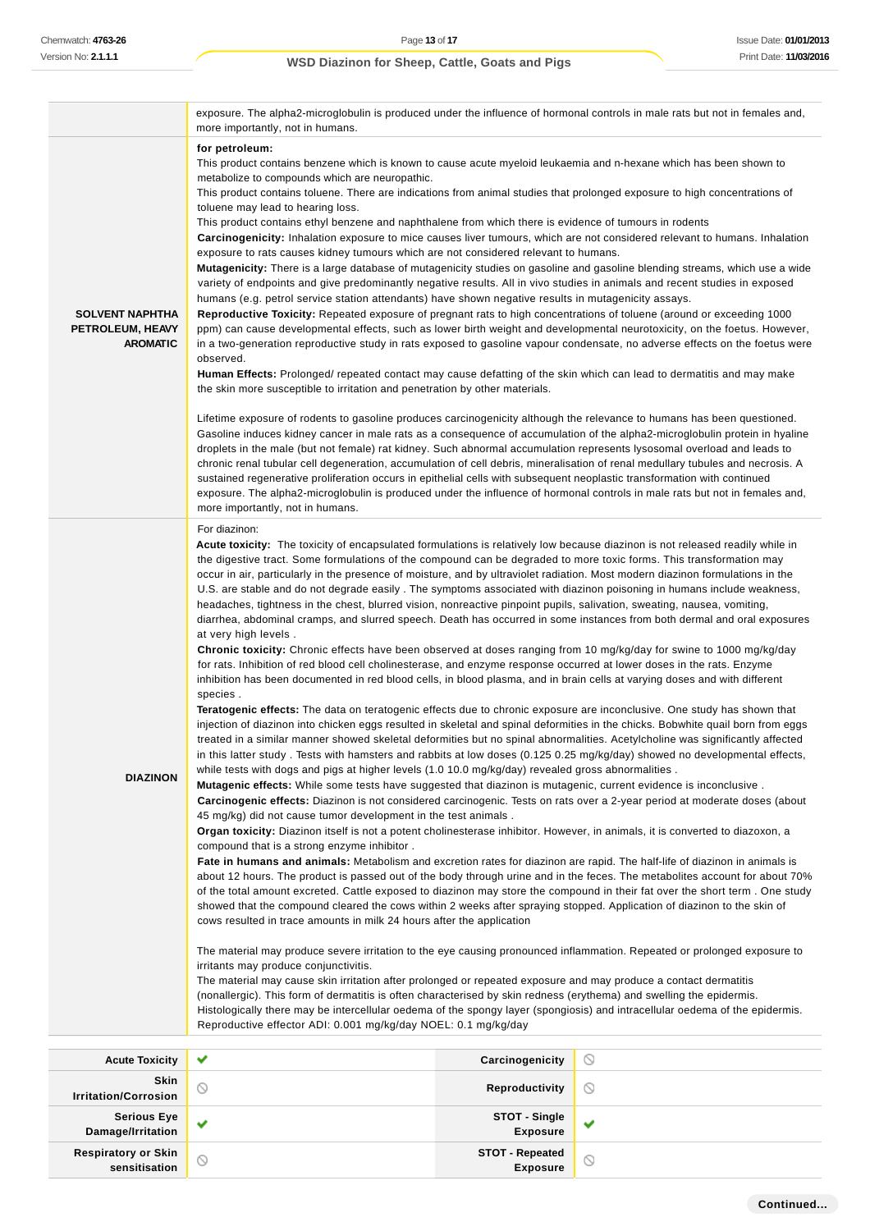÷.

## **WSD Diazinon for Sheep, Cattle, Goats and Pigs**

|                                                               | exposure. The alpha2-microglobulin is produced under the influence of hormonal controls in male rats but not in females and,<br>more importantly, not in humans.                                                                                                                                                                                                                                                                                                                                                                                                                                                                                                                                                                                                                                                                                                                                                                                                                                                                                                                                                                                                                                                                                                                                                                                                                                                                                                                                                                                                                                                                                                                                                                                                                                                                                                                                                                                                                                                                                                                                                                                                                                                                                                                                                                                                                                                                                                                                                                                                                                                                                                                                                                                                                                                                                                                                                                                                                                                                                                                                                                                                                                                                                                                                                                                                                                                                                                                                                                                                                                           |                |   |
|---------------------------------------------------------------|------------------------------------------------------------------------------------------------------------------------------------------------------------------------------------------------------------------------------------------------------------------------------------------------------------------------------------------------------------------------------------------------------------------------------------------------------------------------------------------------------------------------------------------------------------------------------------------------------------------------------------------------------------------------------------------------------------------------------------------------------------------------------------------------------------------------------------------------------------------------------------------------------------------------------------------------------------------------------------------------------------------------------------------------------------------------------------------------------------------------------------------------------------------------------------------------------------------------------------------------------------------------------------------------------------------------------------------------------------------------------------------------------------------------------------------------------------------------------------------------------------------------------------------------------------------------------------------------------------------------------------------------------------------------------------------------------------------------------------------------------------------------------------------------------------------------------------------------------------------------------------------------------------------------------------------------------------------------------------------------------------------------------------------------------------------------------------------------------------------------------------------------------------------------------------------------------------------------------------------------------------------------------------------------------------------------------------------------------------------------------------------------------------------------------------------------------------------------------------------------------------------------------------------------------------------------------------------------------------------------------------------------------------------------------------------------------------------------------------------------------------------------------------------------------------------------------------------------------------------------------------------------------------------------------------------------------------------------------------------------------------------------------------------------------------------------------------------------------------------------------------------------------------------------------------------------------------------------------------------------------------------------------------------------------------------------------------------------------------------------------------------------------------------------------------------------------------------------------------------------------------------------------------------------------------------------------------------------------------|----------------|---|
| <b>SOLVENT NAPHTHA</b><br>PETROLEUM, HEAVY<br><b>AROMATIC</b> | for petroleum:<br>This product contains benzene which is known to cause acute myeloid leukaemia and n-hexane which has been shown to<br>metabolize to compounds which are neuropathic.<br>This product contains toluene. There are indications from animal studies that prolonged exposure to high concentrations of<br>toluene may lead to hearing loss.<br>This product contains ethyl benzene and naphthalene from which there is evidence of tumours in rodents<br>Carcinogenicity: Inhalation exposure to mice causes liver tumours, which are not considered relevant to humans. Inhalation<br>exposure to rats causes kidney tumours which are not considered relevant to humans.<br>Mutagenicity: There is a large database of mutagenicity studies on gasoline and gasoline blending streams, which use a wide<br>variety of endpoints and give predominantly negative results. All in vivo studies in animals and recent studies in exposed<br>humans (e.g. petrol service station attendants) have shown negative results in mutagenicity assays.<br>Reproductive Toxicity: Repeated exposure of pregnant rats to high concentrations of toluene (around or exceeding 1000<br>ppm) can cause developmental effects, such as lower birth weight and developmental neurotoxicity, on the foetus. However,<br>in a two-generation reproductive study in rats exposed to gasoline vapour condensate, no adverse effects on the foetus were<br>observed.<br>Human Effects: Prolonged/ repeated contact may cause defatting of the skin which can lead to dermatitis and may make<br>the skin more susceptible to irritation and penetration by other materials.<br>Lifetime exposure of rodents to gasoline produces carcinogenicity although the relevance to humans has been questioned.<br>Gasoline induces kidney cancer in male rats as a consequence of accumulation of the alpha2-microglobulin protein in hyaline<br>droplets in the male (but not female) rat kidney. Such abnormal accumulation represents lysosomal overload and leads to<br>chronic renal tubular cell degeneration, accumulation of cell debris, mineralisation of renal medullary tubules and necrosis. A<br>sustained regenerative proliferation occurs in epithelial cells with subsequent neoplastic transformation with continued<br>exposure. The alpha2-microglobulin is produced under the influence of hormonal controls in male rats but not in females and,                                                                                                                                                                                                                                                                                                                                                                                                                                                                                                                                                                                                                                                                                                                                                                                                                                                                                                                                                                                                                                                                                                                                                  |                |   |
| <b>DIAZINON</b>                                               | more importantly, not in humans.<br>For diazinon:<br>Acute toxicity: The toxicity of encapsulated formulations is relatively low because diazinon is not released readily while in<br>the digestive tract. Some formulations of the compound can be degraded to more toxic forms. This transformation may<br>occur in air, particularly in the presence of moisture, and by ultraviolet radiation. Most modern diazinon formulations in the<br>U.S. are stable and do not degrade easily. The symptoms associated with diazinon poisoning in humans include weakness,<br>headaches, tightness in the chest, blurred vision, nonreactive pinpoint pupils, salivation, sweating, nausea, vomiting,<br>diarrhea, abdominal cramps, and slurred speech. Death has occurred in some instances from both dermal and oral exposures<br>at very high levels.<br>Chronic toxicity: Chronic effects have been observed at doses ranging from 10 mg/kg/day for swine to 1000 mg/kg/day<br>for rats. Inhibition of red blood cell cholinesterase, and enzyme response occurred at lower doses in the rats. Enzyme<br>inhibition has been documented in red blood cells, in blood plasma, and in brain cells at varying doses and with different<br>species.<br>Teratogenic effects: The data on teratogenic effects due to chronic exposure are inconclusive. One study has shown that<br>injection of diazinon into chicken eggs resulted in skeletal and spinal deformities in the chicks. Bobwhite quail born from eggs<br>treated in a similar manner showed skeletal deformities but no spinal abnormalities. Acetylcholine was significantly affected<br>in this latter study. Tests with hamsters and rabbits at low doses (0.125 0.25 mg/kg/day) showed no developmental effects,<br>while tests with dogs and pigs at higher levels (1.0 10.0 mg/kg/day) revealed gross abnormalities.<br>Mutagenic effects: While some tests have suggested that diazinon is mutagenic, current evidence is inconclusive.<br>Carcinogenic effects: Diazinon is not considered carcinogenic. Tests on rats over a 2-year period at moderate doses (about<br>45 mg/kg) did not cause tumor development in the test animals.<br>Organ toxicity: Diazinon itself is not a potent cholinesterase inhibitor. However, in animals, it is converted to diazoxon, a<br>compound that is a strong enzyme inhibitor.<br>Fate in humans and animals: Metabolism and excretion rates for diazinon are rapid. The half-life of diazinon in animals is<br>about 12 hours. The product is passed out of the body through urine and in the feces. The metabolites account for about 70%<br>of the total amount excreted. Cattle exposed to diazinon may store the compound in their fat over the short term. One study<br>showed that the compound cleared the cows within 2 weeks after spraying stopped. Application of diazinon to the skin of<br>cows resulted in trace amounts in milk 24 hours after the application<br>The material may produce severe irritation to the eye causing pronounced inflammation. Repeated or prolonged exposure to<br>irritants may produce conjunctivitis.<br>The material may cause skin irritation after prolonged or repeated exposure and may produce a contact dermatitis<br>(nonallergic). This form of dermatitis is often characterised by skin redness (erythema) and swelling the epidermis.<br>Histologically there may be intercellular oedema of the spongy layer (spongiosis) and intracellular oedema of the epidermis.<br>Reproductive effector ADI: 0.001 mg/kg/day NOEL: 0.1 mg/kg/day |                |   |
| <b>Acute Toxicity</b>                                         | Carcinogenicity<br>✔<br>$\circlearrowright$                                                                                                                                                                                                                                                                                                                                                                                                                                                                                                                                                                                                                                                                                                                                                                                                                                                                                                                                                                                                                                                                                                                                                                                                                                                                                                                                                                                                                                                                                                                                                                                                                                                                                                                                                                                                                                                                                                                                                                                                                                                                                                                                                                                                                                                                                                                                                                                                                                                                                                                                                                                                                                                                                                                                                                                                                                                                                                                                                                                                                                                                                                                                                                                                                                                                                                                                                                                                                                                                                                                                                                |                |   |
| Skin                                                          |                                                                                                                                                                                                                                                                                                                                                                                                                                                                                                                                                                                                                                                                                                                                                                                                                                                                                                                                                                                                                                                                                                                                                                                                                                                                                                                                                                                                                                                                                                                                                                                                                                                                                                                                                                                                                                                                                                                                                                                                                                                                                                                                                                                                                                                                                                                                                                                                                                                                                                                                                                                                                                                                                                                                                                                                                                                                                                                                                                                                                                                                                                                                                                                                                                                                                                                                                                                                                                                                                                                                                                                                            | Reproductivity | ∾ |
|                                                               |                                                                                                                                                                                                                                                                                                                                                                                                                                                                                                                                                                                                                                                                                                                                                                                                                                                                                                                                                                                                                                                                                                                                                                                                                                                                                                                                                                                                                                                                                                                                                                                                                                                                                                                                                                                                                                                                                                                                                                                                                                                                                                                                                                                                                                                                                                                                                                                                                                                                                                                                                                                                                                                                                                                                                                                                                                                                                                                                                                                                                                                                                                                                                                                                                                                                                                                                                                                                                                                                                                                                                                                                            |                |   |

| <b>Skin</b><br><b>Irritation/Corrosion</b> |                     | Reproductivity                            |   |
|--------------------------------------------|---------------------|-------------------------------------------|---|
| Serious Eye<br>Damage/Irritation           | $\sim$              | <b>STOT - Single<br/>Exposure</b>         | ٠ |
| Respiratory or Skin<br>sensitisation       | $\scriptstyle\circ$ | <b>STOT - Repeated</b><br><b>Exposure</b> |   |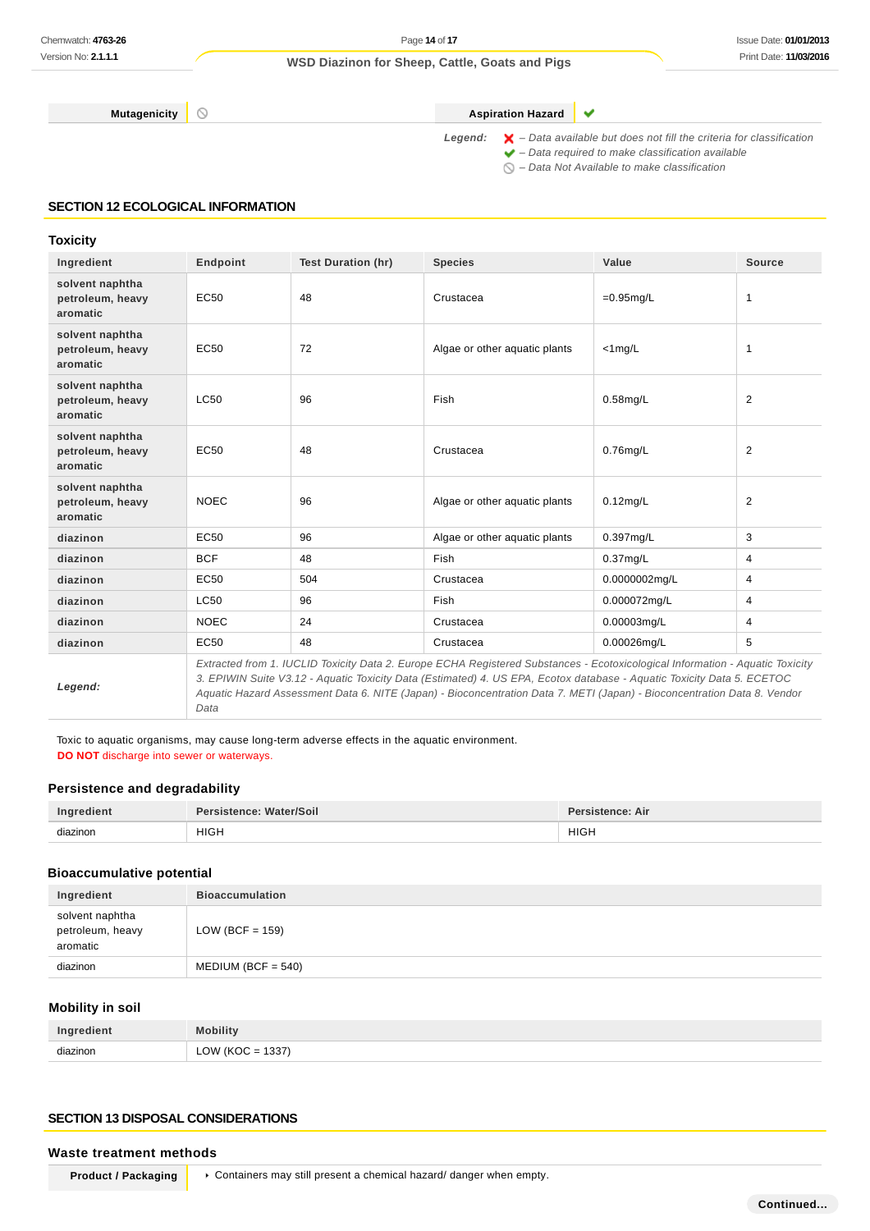**Mutagenicity CONSISTENT CONSISTENT ASPIRATION HAZARD** 

Legend:  $\mathsf{X}$  - Data available but does not fill the criteria for classification  $\blacktriangleright$  – Data required to make classification available

 $\bigcirc$  – Data Not Available to make classification

 $\checkmark$ 

#### **SECTION 12 ECOLOGICAL INFORMATION**

#### **Toxicity**

| Ingredient                                      | Endpoint    | <b>Test Duration (hr)</b> | <b>Species</b>                                                                                                                                                                                                                                                                                                                                                                      | Value         | <b>Source</b>  |
|-------------------------------------------------|-------------|---------------------------|-------------------------------------------------------------------------------------------------------------------------------------------------------------------------------------------------------------------------------------------------------------------------------------------------------------------------------------------------------------------------------------|---------------|----------------|
| solvent naphtha<br>petroleum, heavy<br>aromatic | EC50        | 48                        | Crustacea                                                                                                                                                                                                                                                                                                                                                                           | $=0.95$ mg/L  | $\mathbf{1}$   |
| solvent naphtha<br>petroleum, heavy<br>aromatic | EC50        | 72                        | Algae or other aquatic plants                                                                                                                                                                                                                                                                                                                                                       | $<$ 1mg/L     | $\mathbf{1}$   |
| solvent naphtha<br>petroleum, heavy<br>aromatic | LC50        | 96                        | Fish                                                                                                                                                                                                                                                                                                                                                                                | $0.58$ mg/L   | 2              |
| solvent naphtha<br>petroleum, heavy<br>aromatic | EC50        | 48                        | Crustacea                                                                                                                                                                                                                                                                                                                                                                           | $0.76$ mg/L   | 2              |
| solvent naphtha<br>petroleum, heavy<br>aromatic | <b>NOEC</b> | 96                        | Algae or other aquatic plants                                                                                                                                                                                                                                                                                                                                                       | $0.12$ mg/L   | 2              |
| diazinon                                        | EC50        | 96                        | Algae or other aquatic plants                                                                                                                                                                                                                                                                                                                                                       | 0.397mg/L     | 3              |
| diazinon                                        | <b>BCF</b>  | 48                        | Fish                                                                                                                                                                                                                                                                                                                                                                                | $0.37$ mg/L   | $\overline{4}$ |
| diazinon                                        | EC50        | 504                       | Crustacea                                                                                                                                                                                                                                                                                                                                                                           | 0.0000002mg/L | 4              |
| diazinon                                        | LC50        | 96                        | Fish                                                                                                                                                                                                                                                                                                                                                                                | 0.000072mg/L  | 4              |
| diazinon                                        | <b>NOEC</b> | 24                        | Crustacea                                                                                                                                                                                                                                                                                                                                                                           | 0.00003mg/L   | 4              |
| diazinon                                        | EC50        | 48                        | Crustacea                                                                                                                                                                                                                                                                                                                                                                           | 0.00026mg/L   | 5              |
| Legend:                                         | Data        |                           | Extracted from 1. IUCLID Toxicity Data 2. Europe ECHA Registered Substances - Ecotoxicological Information - Aquatic Toxicity<br>3. EPIWIN Suite V3.12 - Aquatic Toxicity Data (Estimated) 4. US EPA, Ecotox database - Aquatic Toxicity Data 5. ECETOC<br>Aquatic Hazard Assessment Data 6. NITE (Japan) - Bioconcentration Data 7. METI (Japan) - Bioconcentration Data 8. Vendor |               |                |

Toxic to aquatic organisms, may cause long-term adverse effects in the aquatic environment. **DO NOT** discharge into sewer or waterways.

#### **Persistence and degradability**

| Ingredient | Persistence: Water/Soil | Persistence: Air |
|------------|-------------------------|------------------|
| diazinon   | <b>HIGH</b>             | <b>HIGH</b>      |
|            | _____                   |                  |

### **Bioaccumulative potential**

| Ingredient                                      | <b>Bioaccumulation</b> |
|-------------------------------------------------|------------------------|
| solvent naphtha<br>petroleum, heavy<br>aromatic | LOW (BCF = $159$ )     |
| diazinon                                        | $MEDIUM (BCF = 540)$   |

## **Mobility in soil**

|          | Mahility                               |
|----------|----------------------------------------|
| diazinon | 1337)<br>$\bigcap M$<br>∽<br>$\ddotsc$ |

### **SECTION 13 DISPOSAL CONSIDERATIONS**

#### **Waste treatment methods**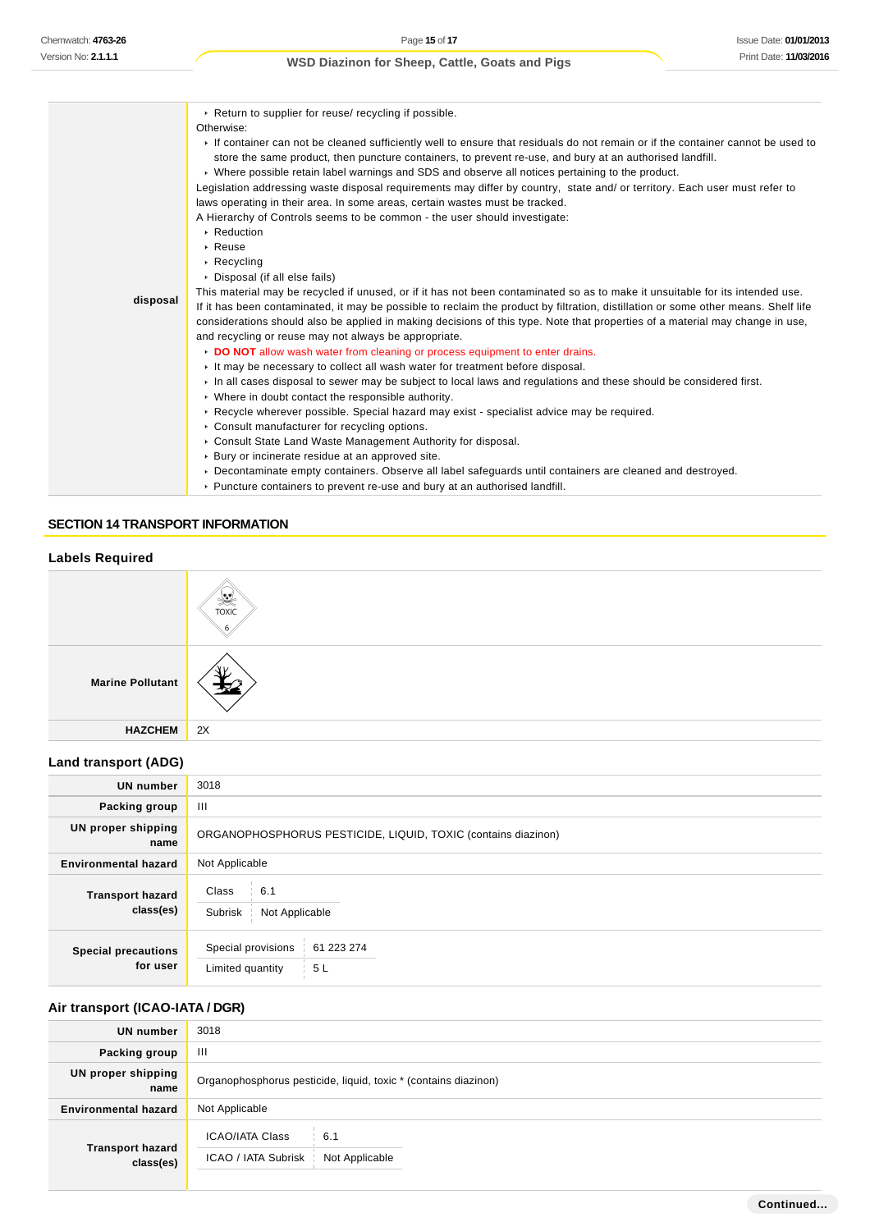| disposal | ▶ Return to supplier for reuse/ recycling if possible.<br>Otherwise:<br>If container can not be cleaned sufficiently well to ensure that residuals do not remain or if the container cannot be used to<br>store the same product, then puncture containers, to prevent re-use, and bury at an authorised landfill.<br>► Where possible retain label warnings and SDS and observe all notices pertaining to the product.<br>Legislation addressing waste disposal requirements may differ by country, state and/ or territory. Each user must refer to<br>laws operating in their area. In some areas, certain wastes must be tracked.<br>A Hierarchy of Controls seems to be common - the user should investigate:<br>▶ Reduction<br>$\triangleright$ Reuse<br>$\triangleright$ Recycling<br>▶ Disposal (if all else fails)<br>This material may be recycled if unused, or if it has not been contaminated so as to make it unsuitable for its intended use.<br>If it has been contaminated, it may be possible to reclaim the product by filtration, distillation or some other means. Shelf life<br>considerations should also be applied in making decisions of this type. Note that properties of a material may change in use,<br>and recycling or reuse may not always be appropriate.<br>DO NOT allow wash water from cleaning or process equipment to enter drains.<br>It may be necessary to collect all wash water for treatment before disposal.<br>In all cases disposal to sewer may be subject to local laws and regulations and these should be considered first.<br>• Where in doubt contact the responsible authority.<br>► Recycle wherever possible. Special hazard may exist - specialist advice may be required.<br>Consult manufacturer for recycling options.<br>Consult State Land Waste Management Authority for disposal.<br>▶ Bury or incinerate residue at an approved site. |
|----------|----------------------------------------------------------------------------------------------------------------------------------------------------------------------------------------------------------------------------------------------------------------------------------------------------------------------------------------------------------------------------------------------------------------------------------------------------------------------------------------------------------------------------------------------------------------------------------------------------------------------------------------------------------------------------------------------------------------------------------------------------------------------------------------------------------------------------------------------------------------------------------------------------------------------------------------------------------------------------------------------------------------------------------------------------------------------------------------------------------------------------------------------------------------------------------------------------------------------------------------------------------------------------------------------------------------------------------------------------------------------------------------------------------------------------------------------------------------------------------------------------------------------------------------------------------------------------------------------------------------------------------------------------------------------------------------------------------------------------------------------------------------------------------------------------------------------------------------------------------------------------------------------------------|
|          | ▶ Decontaminate empty containers. Observe all label safequards until containers are cleaned and destroyed.<br>► Puncture containers to prevent re-use and bury at an authorised landfill.                                                                                                                                                                                                                                                                                                                                                                                                                                                                                                                                                                                                                                                                                                                                                                                                                                                                                                                                                                                                                                                                                                                                                                                                                                                                                                                                                                                                                                                                                                                                                                                                                                                                                                                |

#### **SECTION 14 TRANSPORT INFORMATION**

## **Labels Required**

|                         | 變<br><b>TOXIC</b> |
|-------------------------|-------------------|
| <b>Marine Pollutant</b> | -42               |
| <b>HAZCHEM</b>          | 2X                |

### **Land transport (ADG)**

| <b>UN number</b>                       | 3018                                                                   |
|----------------------------------------|------------------------------------------------------------------------|
| Packing group                          | Ш                                                                      |
| <b>UN proper shipping</b><br>name      | ORGANOPHOSPHORUS PESTICIDE, LIQUID, TOXIC (contains diazinon)          |
| <b>Environmental hazard</b>            | Not Applicable                                                         |
| <b>Transport hazard</b><br>class(es)   | Class<br>6.1<br>Subrisk<br>Not Applicable                              |
| <b>Special precautions</b><br>for user | Special provisions<br>61 223 274<br>Limited quantity<br>5 <sub>L</sub> |

## **Air transport (ICAO-IATA / DGR)**

| <b>UN number</b>                     | 3018                                                                   |
|--------------------------------------|------------------------------------------------------------------------|
| Packing group                        | Ш                                                                      |
| UN proper shipping<br>name           | Organophosphorus pesticide, liquid, toxic * (contains diazinon)        |
| <b>Environmental hazard</b>          | Not Applicable                                                         |
| <b>Transport hazard</b><br>class(es) | <b>ICAO/IATA Class</b><br>6.1<br>ICAO / IATA Subrisk<br>Not Applicable |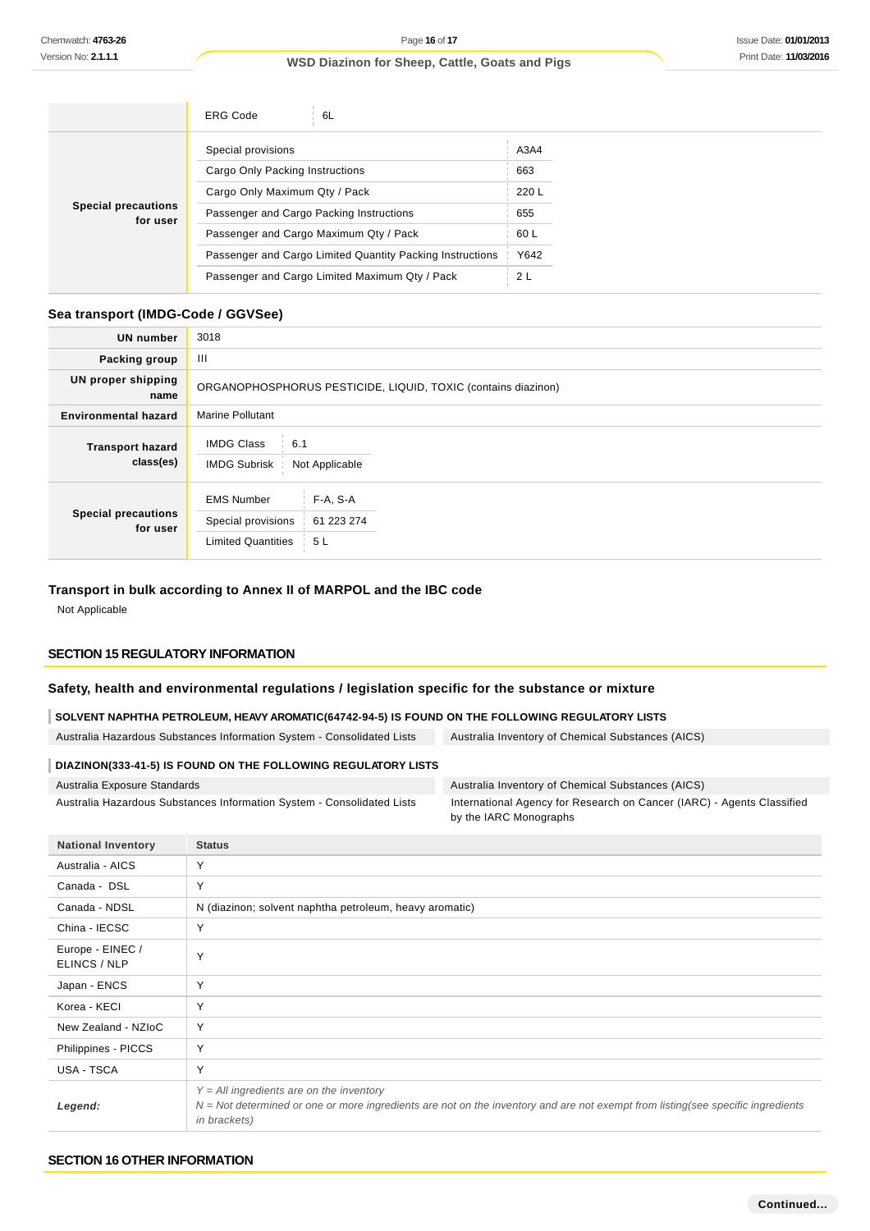|                                        | <b>ERG Code</b><br>6L                                     |       |
|----------------------------------------|-----------------------------------------------------------|-------|
| <b>Special precautions</b><br>for user | Special provisions                                        | A3A4  |
|                                        | Cargo Only Packing Instructions                           | 663   |
|                                        | Cargo Only Maximum Qty / Pack                             | 220 L |
|                                        | Passenger and Cargo Packing Instructions                  | 655   |
|                                        | Passenger and Cargo Maximum Qty / Pack                    | 60 L  |
|                                        | Passenger and Cargo Limited Quantity Packing Instructions | Y642  |
|                                        | Passenger and Cargo Limited Maximum Qty / Pack            | 2L    |

### **Sea transport (IMDG-Code / GGVSee)**

| <b>UN number</b>                       | 3018                                                                                                    |
|----------------------------------------|---------------------------------------------------------------------------------------------------------|
| Packing group                          | Ш                                                                                                       |
| <b>UN proper shipping</b><br>name      | ORGANOPHOSPHORUS PESTICIDE, LIQUID, TOXIC (contains diazinon)                                           |
| <b>Environmental hazard</b>            | <b>Marine Pollutant</b>                                                                                 |
| <b>Transport hazard</b><br>class(es)   | <b>IMDG Class</b><br>6.1<br><b>IMDG Subrisk</b><br>Not Applicable                                       |
| <b>Special precautions</b><br>for user | <b>EMS Number</b><br>$F-A, S-A$<br>Special provisions<br>61 223 274<br><b>Limited Quantities</b><br>5 L |

#### **Transport in bulk according to Annex II of MARPOL and the IBC code**

Not Applicable

## **SECTION 15 REGULATORY INFORMATION**

**National Inventory Status**

#### **Safety, health and environmental regulations / legislation specific for the substance or mixture**

**SOLVENT NAPHTHA PETROLEUM, HEAVY AROMATIC(64742-94-5) IS FOUND ON THE FOLLOWING REGULATORY LISTS**

Australia Hazardous Substances Information System - Consolidated Lists Australia Inventory of Chemical Substances (AICS)

## **DIAZINON(333-41-5) IS FOUND ON THE FOLLOWING REGULATORY LISTS**

| Australia Exposure Standards                                           |
|------------------------------------------------------------------------|
| Australia Hazardous Substances Information System - Consolidated Lists |

Australia Inventory of Chemical Substances (AICS) International Agency for Research on Cancer (IARC) - Agents Classified by the IARC Monographs

| <b>National Inventory</b>        | otatus                                                                                                                                                                                                  |
|----------------------------------|---------------------------------------------------------------------------------------------------------------------------------------------------------------------------------------------------------|
| Australia - AICS                 | Y                                                                                                                                                                                                       |
| Canada - DSL                     | Y                                                                                                                                                                                                       |
| Canada - NDSL                    | N (diazinon; solvent naphtha petroleum, heavy aromatic)                                                                                                                                                 |
| China - IECSC                    | Y                                                                                                                                                                                                       |
| Europe - EINEC /<br>ELINCS / NLP | Υ                                                                                                                                                                                                       |
| Japan - ENCS                     | Υ                                                                                                                                                                                                       |
| Korea - KECI                     | Y                                                                                                                                                                                                       |
| New Zealand - NZIoC              | Y                                                                                                                                                                                                       |
| Philippines - PICCS              | Y                                                                                                                                                                                                       |
| USA - TSCA                       | Υ                                                                                                                                                                                                       |
| Legend:                          | $Y = All$ ingredients are on the inventory<br>$N = Not$ determined or one or more ingredients are not on the inventory and are not exempt from listing(see specific ingredients<br><i>in brackets</i> ) |

#### **SECTION 16 OTHER INFORMATION**